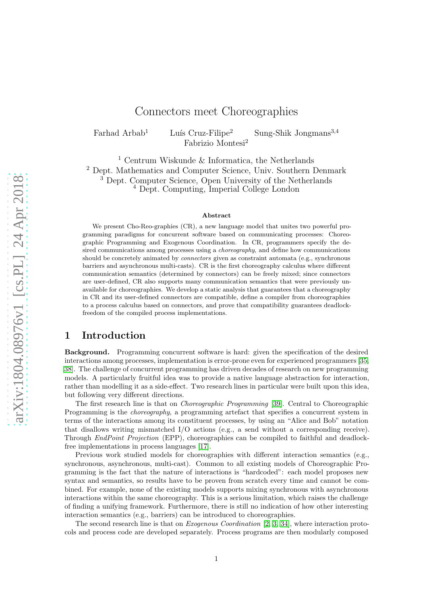# Connectors meet Choreographies

Farhad Arbab<sup>1</sup> Luís Cruz-Filipe<sup>2</sup> Sung-Shik Jongmans<sup>3,4</sup> Fabrizio Montesi<sup>2</sup>

 Centrum Wiskunde & Informatica, the Netherlands Dept. Mathematics and Computer Science, Univ. Southern Denmark Dept. Computer Science, Open University of the Netherlands Dept. Computing, Imperial College London

#### Abstract

We present Cho-Reo-graphies (CR), a new language model that unites two powerful programming paradigms for concurrent software based on communicating processes: Choreographic Programming and Exogenous Coordination. In CR, programmers specify the desired communications among processes using a *choreography*, and define how communications should be concretely animated by *connectors* given as constraint automata (e.g., synchronous barriers and asynchronous multi-casts). CR is the first choreography calculus where different communication semantics (determined by connectors) can be freely mixed; since connectors are user-defined, CR also supports many communication semantics that were previously unavailable for choreographies. We develop a static analysis that guarantees that a choreography in CR and its user-defined connectors are compatible, define a compiler from choreographies to a process calculus based on connectors, and prove that compatibility guarantees deadlockfreedom of the compiled process implementations.

### 1 Introduction

Background. Programming concurrent software is hard: given the specification of the desired interactions among processes, implementation is error-prone even for experienced programmers [\[35,](#page-25-0) [38\]](#page-25-1). The challenge of concurrent programming has driven decades of research on new programming models. A particularly fruitful idea was to provide a native language abstraction for interaction, rather than modelling it as a side-effect. Two research lines in particular were built upon this idea, but following very different directions.

The first research line is that on Choreographic Programming [\[39\]](#page-25-2). Central to Choreographic Programming is the *choreography*, a programming artefact that specifies a concurrent system in terms of the interactions among its constituent processes, by using an "Alice and Bob" notation that disallows writing mismatched I/O actions (e.g., a send without a corresponding receive). Through EndPoint Projection (EPP), choreographies can be compiled to faithful and deadlockfree implementations in process languages [\[17\]](#page-24-0).

Previous work studied models for choreographies with different interaction semantics (e.g., synchronous, asynchronous, multi-cast). Common to all existing models of Choreographic Programming is the fact that the nature of interactions is "hardcoded": each model proposes new syntax and semantics, so results have to be proven from scratch every time and cannot be combined. For example, none of the existing models supports mixing synchronous with asynchronous interactions within the same choreography. This is a serious limitation, which raises the challenge of finding a unifying framework. Furthermore, there is still no indication of how other interesting interaction semantics (e.g., barriers) can be introduced to choreographies.

The second research line is that on *Exogenous Coordination* [\[2,](#page-23-0) [3,](#page-23-1) [34\]](#page-25-3), where interaction protocols and process code are developed separately. Process programs are then modularly composed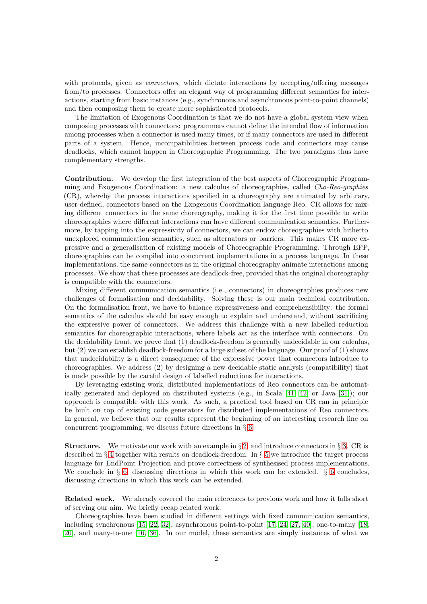with protocols, given as *connectors*, which dictate interactions by accepting/offering messages from/to processes. Connectors offer an elegant way of programming different semantics for interactions, starting from basic instances (e.g., synchronous and asynchronous point-to-point channels) and then composing them to create more sophisticated protocols.

The limitation of Exogenous Coordination is that we do not have a global system view when composing processes with connectors: programmers cannot define the intended flow of information among processes when a connector is used many times, or if many connectors are used in different parts of a system. Hence, incompatibilities between process code and connectors may cause deadlocks, which cannot happen in Choreographic Programming. The two paradigms thus have complementary strengths.

Contribution. We develop the first integration of the best aspects of Choreographic Programming and Exogenous Coordination: a new calculus of choreographies, called Cho-Reo-graphies (CR), whereby the process interactions specified in a choreography are animated by arbitrary, user-defined, connectors based on the Exogenous Coordination language Reo. CR allows for mixing different connectors in the same choreography, making it for the first time possible to write choreographies where different interactions can have different communication semantics. Furthermore, by tapping into the expressivity of connectors, we can endow choreographies with hitherto unexplored communication semantics, such as alternators or barriers. This makes CR more expressive and a generalisation of existing models of Choreographic Programming. Through EPP, choreographies can be compiled into concurrent implementations in a process language. In these implementations, the same connectors as in the original choreography animate interactions among processes. We show that these processes are deadlock-free, provided that the original choreography is compatible with the connectors.

Mixing different communication semantics (i.e., connectors) in choreographies produces new challenges of formalisation and decidability. Solving these is our main technical contribution. On the formalisation front, we have to balance expressiveness and comprehensibility: the formal semantics of the calculus should be easy enough to explain and understand, without sacrificing the expressive power of connectors. We address this challenge with a new labelled reduction semantics for choreographic interactions, where labels act as the interface with connectors. On the decidability front, we prove that (1) deadlock-freedom is generally undecidable in our calculus, but (2) we can establish deadlock-freedom for a large subset of the language. Our proof of (1) shows that undecidability is a direct consequence of the expressive power that connectors introduce to choreographies. We address (2) by designing a new decidable static analysis (compatibility) that is made possible by the careful design of labelled reductions for interactions.

By leveraging existing work, distributed implementations of Reo connectors can be automatically generated and deployed on distributed systems (e.g., in Scala [\[41,](#page-25-4) [42\]](#page-25-5) or Java [\[31\]](#page-25-6)); our approach is compatible with this work. As such, a practical tool based on CR can in principle be built on top of existing code generators for distributed implementations of Reo connectors. In general, we believe that our results represent the beginning of an interesting research line on concurrent programming; we discuss future directions in § [6.](#page-22-0)

**Structure.** We motivate our work with an example in § [2,](#page-2-0) and introduce connectors in § [3.](#page-3-0) CR is described in § [4](#page-5-0) together with results on deadlock-freedom. In § [5](#page-19-0) we introduce the target process language for EndPoint Projection and prove correctness of synthesised process implementations. We conclude in § [6,](#page-22-0) discussing directions in which this work can be extended. § [6](#page-22-0) concludes, discussing directions in which this work can be extended.

Related work. We already covered the main references to previous work and how it falls short of serving our aim. We briefly recap related work.

Choreographies have been studied in different settings with fixed communication semantics, including synchronous [\[15,](#page-24-1) [22,](#page-24-2) [32\]](#page-25-7), asynchronous point-to-point [\[17,](#page-24-0) [24,](#page-24-3) [27,](#page-24-4) [40\]](#page-25-8), one-to-many [\[18,](#page-24-5) [20\]](#page-24-6), and many-to-one [\[16,](#page-24-7) [36\]](#page-25-9). In our model, these semantics are simply instances of what we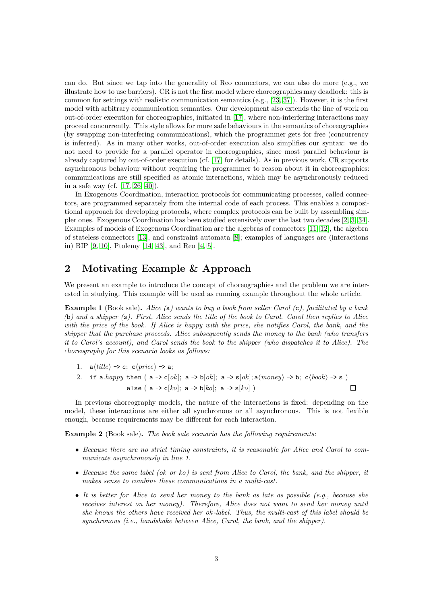can do. But since we tap into the generality of Reo connectors, we can also do more (e.g., we illustrate how to use barriers). CR is not the first model where choreographies may deadlock: this is common for settings with realistic communication semantics (e.g., [\[23,](#page-24-8) [37\]](#page-25-10)). However, it is the first model with arbitrary communication semantics. Our development also extends the line of work on out-of-order execution for choreographies, initiated in [\[17\]](#page-24-0), where non-interfering interactions may proceed concurrently. This style allows for more safe behaviours in the semantics of choreographies (by swapping non-interfering communications), which the programmer gets for free (concurrency is inferred). As in many other works, out-of-order execution also simplifies our syntax: we do not need to provide for a parallel operator in choreographies, since most parallel behaviour is already captured by out-of-order execution (cf. [\[17\]](#page-24-0) for details). As in previous work, CR supports asynchronous behaviour without requiring the programmer to reason about it in choreographies: communications are still specified as atomic interactions, which may be asynchronously reduced in a safe way (cf. [\[17,](#page-24-0) [26,](#page-24-9) [40\]](#page-25-8)).

In Exogenous Coordination, interaction protocols for communicating processes, called connectors, are programmed separately from the internal code of each process. This enables a compositional approach for developing protocols, where complex protocols can be built by assembling simpler ones. Exogenous Coordination has been studied extensively over the last two decades [\[2,](#page-23-0) [3,](#page-23-1) [34\]](#page-25-3). Examples of models of Exogenous Coordination are the algebras of connectors [\[11,](#page-24-10) [12\]](#page-24-11), the algebra of stateless connectors [\[13\]](#page-24-12), and constraint automata [\[8\]](#page-24-13); examples of languages are (interactions in) BIP [\[9,](#page-24-14) [10\]](#page-24-15), Ptolemy [\[14,](#page-24-16) [43\]](#page-25-11), and Reo [\[4,](#page-23-2) [5\]](#page-23-3).

## <span id="page-2-0"></span>2 Motivating Example & Approach

We present an example to introduce the concept of choreographies and the problem we are interested in studying. This example will be used as running example throughout the whole article.

<span id="page-2-1"></span>**Example 1** (Book sale). Alice (a) wants to buy a book from seller Carol (c), facilitated by a bank (b) and a shipper (s). First, Alice sends the title of the book to Carol. Carol then replies to Alice with the price of the book. If Alice is happy with the price, she notifies Carol, the bank, and the shipper that the purchase proceeds. Alice subsequently sends the money to the bank (who transfers it to Carol's account), and Carol sends the book to the shipper (who dispatches it to Alice). The choreography for this scenario looks as follows:

- 1.  $a\langle title \rangle \rightarrow c; c\langle price \rangle \rightarrow a;$
- 2. if a.happy then ( $a \rightarrow c[ok]$ ;  $a \rightarrow b[ok]$ ;  $a \rightarrow s[ok]$ ;  $a(money) \rightarrow b$ ;  $c\langle book \rangle \rightarrow s$ ) else ( a  $\rightarrow$  c[ko]; a  $\rightarrow$  b[ko]; a  $\rightarrow$  s[ko])  $\Box$

In previous choreography models, the nature of the interactions is fixed: depending on the model, these interactions are either all synchronous or all asynchronous. This is not flexible enough, because requirements may be different for each interaction.

<span id="page-2-2"></span>Example 2 (Book sale). The book sale scenario has the following requirements:

- Because there are no strict timing constraints, it is reasonable for Alice and Carol to communicate asynchronously in line 1.
- Because the same label (ok or ko) is sent from Alice to Carol, the bank, and the shipper, it makes sense to combine these communications in a multi-cast.
- It is better for Alice to send her money to the bank as late as possible  $(e.g.,\, because\, she$ receives interest on her money). Therefore, Alice does not want to send her money until she knows the others have received her ok -label. Thus, the multi-cast of this label should be synchronous (i.e., handshake between Alice, Carol, the bank, and the shipper).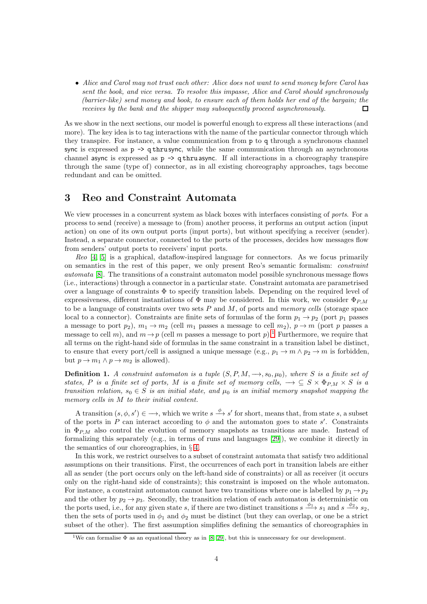• Alice and Carol may not trust each other: Alice does not want to send money before Carol has sent the book, and vice versa. To resolve this impasse, Alice and Carol should synchronously (barrier-like) send money and book, to ensure each of them holds her end of the bargain; the receives by the bank and the shipper may subsequently proceed asynchronously. П

As we show in the next sections, our model is powerful enough to express all these interactions (and more). The key idea is to tag interactions with the name of the particular connector through which they transpire. For instance, a value communication from p to q through a synchronous channel sync is expressed as  $p \rightarrow q$  thrus ync, while the same communication through an asynchronous channel async is expressed as  $p \rightarrow q$  thru async. If all interactions in a choreography transpire through the same (type of) connector, as in all existing choreography approaches, tags become redundant and can be omitted.

## <span id="page-3-0"></span>3 Reo and Constraint Automata

We view processes in a concurrent system as black boxes with interfaces consisting of *ports*. For a process to send (receive) a message to (from) another process, it performs an output action (input action) on one of its own output ports (input ports), but without specifying a receiver (sender). Instead, a separate connector, connected to the ports of the processes, decides how messages flow from senders' output ports to receivers' input ports.

Reo [\[4,](#page-23-2) [5\]](#page-23-3) is a graphical, dataflow-inspired language for connectors. As we focus primarily on semantics in the rest of this paper, we only present Reo's semantic formalism: constraint automata [\[8\]](#page-24-13). The transitions of a constraint automaton model possible synchronous message flows (i.e., interactions) through a connector in a particular state. Constraint automata are parametrised over a language of constraints Φ to specify transition labels. Depending on the required level of expressiveness, different instantiations of  $\Phi$  may be considered. In this work, we consider  $\Phi_{PM}$ to be a language of constraints over two sets  $P$  and  $M$ , of ports and memory cells (storage space local to a connector). Constraints are finite sets of formulas of the form  $p_1 \rightarrow p_2$  (port  $p_1$  passes a message to port  $p_2$ ),  $m_1 \rightarrow m_2$  (cell  $m_1$  passes a message to cell  $m_2$ ),  $p \rightarrow m$  (port p passes a message to cell m), and  $m \rightarrow p$  (cell m passes a message to port p).<sup>[1](#page-3-1)</sup> Furthermore, we require that all terms on the right-hand side of formulas in the same constraint in a transition label be distinct, to ensure that every port/cell is assigned a unique message (e.g.,  $p_1 \rightarrow m \land p_2 \rightarrow m$  is forbidden, but  $p \to m_1 \wedge p \to m_2$  is allowed).

<span id="page-3-2"></span>**Definition 1.** A constraint automaton is a tuple  $(S, P, M, \rightarrow, s_0, \mu_0)$ , where S is a finite set of states, P is a finite set of ports, M is a finite set of memory cells,  $\rightarrow \subseteq S \times \Phi_{P,M} \times S$  is a transition relation,  $s_0 \in S$  is an initial state, and  $\mu_0$  is an initial memory snapshot mapping the memory cells in M to their initial content.

A transition  $(s, \phi, s') \in \longrightarrow$ , which we write  $s \stackrel{\phi}{\longrightarrow} s'$  for short, means that, from state s, a subset of the ports in P can interact according to  $\phi$  and the automaton goes to state s'. Constraints in  $\Phi_{P,M}$  also control the evolution of memory snapshots as transitions are made. Instead of formalizing this separately (e.g., in terms of runs and languages [\[29\]](#page-25-12)), we combine it directly in the semantics of our choreographies, in § [4.](#page-5-0)

In this work, we restrict ourselves to a subset of constraint automata that satisfy two additional assumptions on their transitions. First, the occurrences of each port in transition labels are either all as sender (the port occurs only on the left-hand side of constraints) or all as receiver (it occurs only on the right-hand side of constraints); this constraint is imposed on the whole automaton. For instance, a constraint automaton cannot have two transitions where one is labelled by  $p_1 \rightarrow p_2$ and the other by  $p_2 \rightarrow p_3$ . Secondly, the transition relation of each automaton is deterministic on the ports used, i.e., for any given state s, if there are two distinct transitions  $s \xrightarrow{\phi_1} s_1$  and  $s \xrightarrow{\phi_2} s_2$ , then the sets of ports used in  $\phi_1$  and  $\phi_2$  must be distinct (but they can overlap, or one be a strict subset of the other). The first assumption simplifies defining the semantics of choreographies in

<span id="page-3-1"></span><sup>&</sup>lt;sup>1</sup>We can formalise  $\Phi$  as an equational theory as in [\[8,](#page-24-13) [29\]](#page-25-12), but this is unnecessary for our development.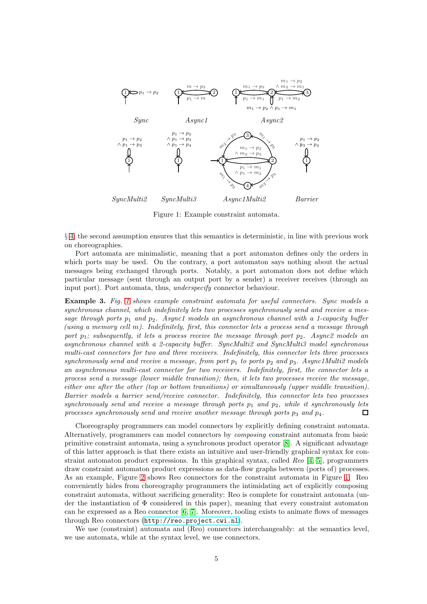

<span id="page-4-0"></span>Figure 1: Example constraint automata.

§ [4;](#page-5-0) the second assumption ensures that this semantics is deterministic, in line with previous work on choreographies.

Port automata are minimalistic, meaning that a port automaton defines only the orders in which ports may be used. On the contrary, a port automaton says nothing about the actual messages being exchanged through ports. Notably, a port automaton does not define which particular message (sent through an output port by a sender) a receiver receives (through an input port). Port automata, thus, underspecify connector behaviour.

Example 3. Fig. [1](#page-4-0) shows example constraint automata for useful connectors. Sync models a synchronous channel, which indefinitely lets two processes synchronously send and receive a message through ports  $p_1$  and  $p_2$ . Async1 models an asynchronous channel with a 1-capacity buffer (using a memory cell m). Indefinitely, first, this connector lets a process send a message through port  $p_1$ ; subsequently, it lets a process receive the message through port  $p_2$ . Async2 models an asynchronous channel with a 2-capacity buffer. SyncMulti2 and SyncMulti3 model synchronous multi-cast connectors for two and three receivers. Indefinitely, this connector lets three processes synchronously send and receive a message, from port  $p_1$  to ports  $p_2$  and  $p_3$ . Async1Multi2 models an asynchronous multi-cast connector for two receivers. Indefinitely, first, the connector lets a process send a message (lower middle transition); then, it lets two processes receive the message, either one after the other (top or bottom transitions) or simultaneously (upper middle transition). Barrier models a barrier send/receive connector. Indefinitely, this connector lets two processes synchronously send and receive a message through ports  $p_1$  and  $p_2$ , while it synchronously lets processes synchronously send and receive another message through ports  $p_3$  and  $p_4$ .  $\Box$ 

Choreography programmers can model connectors by explicitly defining constraint automata. Alternatively, programmers can model connectors by composing constraint automata from basic primitive constraint automata, using a synchronous product operator [\[8\]](#page-24-13). A significant advantage of this latter approach is that there exists an intuitive and user-friendly graphical syntax for constraint automaton product expressions. In this graphical syntax, called Reo [\[4,](#page-23-2) [5\]](#page-23-3), programmers draw constraint automaton product expressions as data-flow graphs between (ports of) processes. As an example, Figure [2](#page-5-1) shows Reo connectors for the constraint automata in Figure [1.](#page-4-0) Reo conveniently hides from choreography programmers the intimidating act of explicitly composing constraint automata, without sacrificing generality: Reo is complete for constraint automata (under the instantiation of Φ considered in this paper), meaning that every constraint automaton can be expressed as a Reo connector [6, 7]. Moreover, tooling exists to animate flows of messages through Reo connectors (<http://reo.project.cwi.nl>).

We use (constraint) automata and (Reo) connectors interchangeably: at the semantics level, we use automata, while at the syntax level, we use connectors.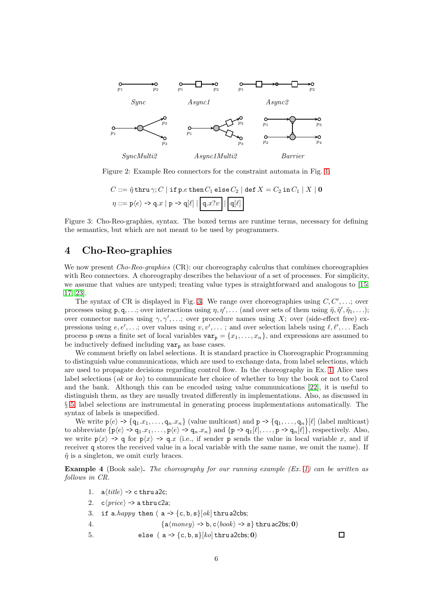

Figure 2: Example Reo connectors for the constraint automata in Fig. [1.](#page-4-0)

<span id="page-5-1"></span>
$$
C ::= \tilde{\eta} \text{ thru } \gamma; C \mid \text{if } p.e \text{ then } C_1 \text{ else } C_2 \mid \text{def } X = C_2 \text{ in } C_1 \mid X \mid \mathbf{0}
$$

$$
\eta ::= p\langle e \rangle \rightarrow q.x \mid p \rightarrow q[\ell] \mid \boxed{q.x?v} \mid \boxed{q[\ell]}
$$

<span id="page-5-2"></span>Figure 3: Cho-Reo-graphies, syntax. The boxed terms are runtime terms, necessary for defining the semantics, but which are not meant to be used by programmers.

## <span id="page-5-0"></span>4 Cho-Reo-graphies

We now present *Cho-Reo-graphies* (CR): our choreography calculus that combines choreographies with Reo connectors. A choreography describes the behaviour of a set of processes. For simplicity, we assume that values are untyped; treating value types is straightforward and analogous to [\[15,](#page-24-1) [17,](#page-24-0) [23\]](#page-24-8).

The syntax of CR is displayed in Fig. [3.](#page-5-2) We range over choreographies using  $C, C', \ldots$ ; over processes using  $p, q, \ldots$ ; over interactions using  $\eta, \eta', \ldots$  (and over sets of them using  $\tilde{\eta}, \tilde{\eta}', \tilde{\eta}_1, \ldots$ ); over connector names using  $\gamma, \gamma', \ldots$ ; over procedure names using X; over (side-effect free) expressions using  $e, e', \ldots$ ; over values using  $v, v', \ldots$ ; and over selection labels using  $\ell, \ell', \ldots$  Each process p owns a finite set of local variables  $var_p = \{x_1, \ldots, x_n\}$ , and expressions are assumed to be inductively defined including  $var_p$  as base cases.

We comment briefly on label selections. It is standard practice in Choreographic Programming to distinguish value communications, which are used to exchange data, from label selections, which are used to propagate decisions regarding control flow. In the choreography in Ex. [1,](#page-2-1) Alice uses label selections (ok or ko) to communicate her choice of whether to buy the book or not to Carol and the bank. Although this can be encoded using value communications [\[22\]](#page-24-2), it is useful to distinguish them, as they are usually treated differently in implementations. Also, as discussed in § [5,](#page-19-0) label selections are instrumental in generating process implementations automatically. The syntax of labels is unspecified.

We write  $p(e) \rightarrow \{q_1.x_1, \ldots, q_n.x_n\}$  (value multicast) and  $p \rightarrow \{q_1, \ldots, q_n\}[\ell]$  (label multicast) to abbreviate  $\{p\langle e \rangle \rightarrow q_1.x_1, \ldots, p\langle e \rangle \rightarrow q_n.x_n\}$  and  $\{p \rightarrow q_1[\ell], \ldots, p \rightarrow q_n[\ell]\}$ , respectively. Also, we write  $p\langle x \rangle \rightarrow q$  for  $p\langle x \rangle \rightarrow q.x$  (i.e., if sender p sends the value in local variable x, and if receiver q stores the received value in a local variable with the same name, we omit the name). If  $\tilde{\eta}$  is a singleton, we omit curly braces.

<span id="page-5-3"></span>**Example 4** (Book sale). The choreography for our running example  $(Ex. 1)$  $(Ex. 1)$  can be written as follows in CR.

1.  $a\langle title \rangle \rightarrow c$  thru a2c; 2.  $c\langle price \rangle \rightarrow$  a thru c2a; 3. if a.happy then ( $a \rightarrow \{c, b, s\}$ [ok] thru a2cbs; 4.  ${a \langle money \rangle \rightarrow b, c \langle book \rangle \rightarrow s}$  thru ac2bs; 0) 5. else  $(a \rightarrow \{c, b, s\} [ko]$  thru a2cbs; 0)

口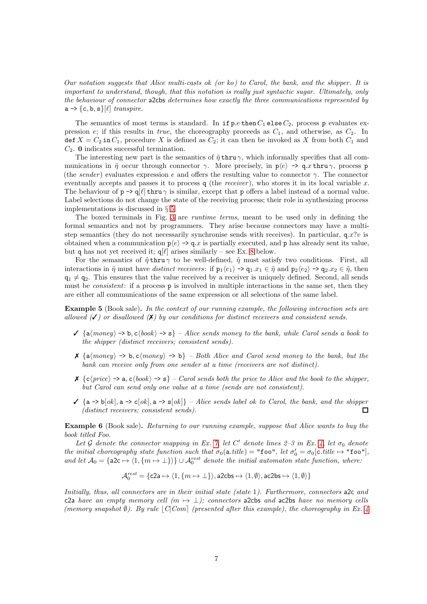Our notation suggests that Alice multi-casts ok (or ko) to Carol, the bank, and the shipper. It is important to understand, though, that this notation is really just syntactic sugar. Ultimately, only the behaviour of connector a2cbs determines how exactly the three communications represented by  $a \rightarrow \{c, b, s\}[\ell]$  transpire.

The semantics of most terms is standard. In if  $p.e$  then  $C_1$  else  $C_2$ , process p evaluates expression e; if this results in true, the choreography proceeds as  $C_1$ , and otherwise, as  $C_2$ . In def  $X = C_2$  in  $C_1$ , procedure X is defined as  $C_2$ ; it can then be invoked as X from both  $C_1$  and  $C_2$ . **0** indicates successful termination.

The interesting new part is the semantics of  $\tilde{\eta}$  thru  $\gamma$ , which informally specifies that all communications in  $\tilde{\eta}$  occur through connector  $\gamma$ . More precisely, in  $p\langle e \rangle \rightarrow q.x$  thru  $\gamma$ , process p (the sender) evaluates expression e and offers the resulting value to connector  $\gamma$ . The connector eventually accepts and passes it to process q (the *receiver*), who stores it in its local variable x. The behaviour of  $p \rightarrow q[\ell]$  thru  $\gamma$  is similar, except that p offers a label instead of a normal value. Label selections do not change the state of the receiving process; their role in synthesizing process implementations is discussed in § [5.](#page-19-0)

The boxed terminals in Fig. [3](#page-5-2) are *runtime terms*, meant to be used only in defining the formal semantics and not by programmers. They arise because connectors may have a multistep semantics (they do not necessarily synchronise sends with receives). In particular,  $q.x?v$  is obtained when a communication  $p(e) \rightarrow q.x$  is partially executed, and p has already sent its value, but q has not yet received it;  $q[\ell]$  arises similarly – see Ex. [8](#page-7-0) below.

For the semantics of  $\tilde{\eta}$  thru  $\gamma$  to be well-defined,  $\tilde{\eta}$  must satisfy two conditions. First, all interactions in  $\tilde{\eta}$  must have distinct receivers: if  $p_1\langle e_1 \rangle \rightarrow q_1.x_1 \in \tilde{\eta}$  and  $p_2\langle e_2 \rangle \rightarrow q_2.x_2 \in \tilde{\eta}$ , then  $q_1 \neq q_2$ . This ensures that the value received by a receiver is uniquely defined. Second, all sends must be *consistent*: if a process **p** is involved in multiple interactions in the same set, then they are either all communications of the same expression or all selections of the same label.

Example 5 (Book sale). In the context of our running example, the following interaction sets are allowed  $(\checkmark)$  or disallowed  $(\checkmark)$  by our conditions for distinct receivers and consistent sends.

- $\checkmark$  {a $\langle money \rangle \to b, c\langle book \rangle \to s$ } Alice sends money to the bank, while Carol sends a book to the shipper (distinct receivers; consistent sends).
- $\mathsf{X}$  {a $\langle money \rangle \rightarrow b, c\langle money \rangle \rightarrow b$ } Both Alice and Carol send money to the bank, but the bank can receive only from one sender at a time (receivers are not distinct).
- $\mathsf{X}$  {c\price} -> a, c\book} -> s} Carol sends both the price to Alice and the book to the shipper, but Carol can send only one value at a time (sends are not consistent).
- $\checkmark$  {a -> b[ok], a -> c[ok], a -> s[ok]} Alice sends label ok to Carol, the bank, and the shipper (distinct receivers; consistent sends).  $\Box$

Example 6 (Book sale). Returning to our running example, suppose that Alice wants to buy the book titled Foo.

Let G denote the connector mapping in Ex. [7,](#page-7-1) let C' denote lines  $2-3$  in Ex. [4,](#page-5-3) let  $\sigma_0$  denote the initial choreography state function such that  $\sigma_0(\texttt{a.title}) = " \texttt{foo}", let \sigma'_0 = \sigma_0[\texttt{c.title} \mapsto " \texttt{foo}"],$ and let  $A_0 = \{ \text{a2c} \mapsto \langle 1, \{m \mapsto \perp\} \rangle \} \cup A_0^{rest}$  denote the initial automaton state function, where:

$$
\mathcal{A}_0^{rest} = \{\texttt{c2a} \mapsto \langle 1, \{m \mapsto \bot\} \rangle, \texttt{a2cbs} \mapsto \langle 1, \emptyset \rangle, \texttt{ac2bs} \mapsto \langle 1, \emptyset \rangle\}
$$

Initially, thus, all connectors are in their initial state (state 1). Furthermore, connectors a2c and c2a have an empty memory cell  $(m \mapsto \bot)$ ; connectors a2cbs and ac2bs have no memory cells (memory snapshot  $\emptyset$ ). By rule  $\lvert C|\mathit{Com}\rvert$  (presented after this example), the choreography in Ex. [4](#page-5-3)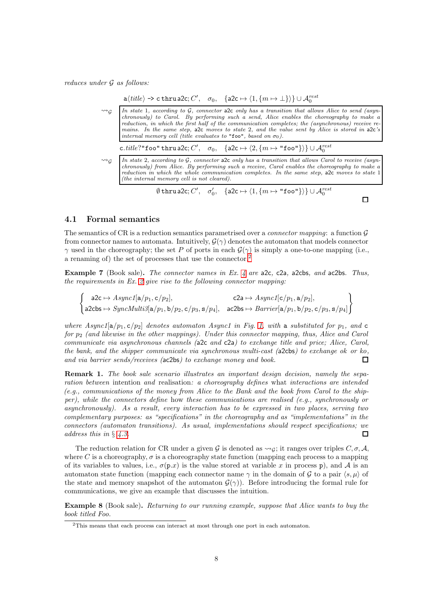reduces under G as follows:

|                      | $a\langle title \rangle \rightarrow c$ thru a2c; $C', \sigma_0, \{\text{a2c} \mapsto \langle 1, \{m \mapsto \perp\} \rangle\} \cup \mathcal{A}_0^{rest}$                                                                                                                                                                                                                                                                                                                      |
|----------------------|-------------------------------------------------------------------------------------------------------------------------------------------------------------------------------------------------------------------------------------------------------------------------------------------------------------------------------------------------------------------------------------------------------------------------------------------------------------------------------|
| $\rightsquigarrow_G$ | In state 1, according to G, connector alcoming has a transition that allows Alice to send (asyn-<br>chronously) to Carol. By performing such a send, Alice enables the choreography to make a<br>reduction, in which the first half of the communication completes; the (asynchronous) receive re-<br>mains. In the same step, alcomoves to state 2, and the value sent by Alice is stored in alc's<br>internal memory cell (title evaluates to "foo", based on $\sigma_0$ ). |
|                      | c.title?"foo" thru a2c; C', $\sigma_0$ , $\{a2c \mapsto \langle 2, \{m \mapsto "foo"\}\rangle\} \cup \mathcal{A}_0^{rest}$                                                                                                                                                                                                                                                                                                                                                    |
| $\rightsquigarrow_G$ | In state 2, according to $G$ , connector also only has a transition that allows Carol to receive (asyn-<br>chronously) from Alice. By performing such a receive, Carol enables the choreography to make a<br>reduction in which the whole communication completes. In the same step, alcomoves to state 1<br>(the internal memory cell is not cleared).                                                                                                                       |
|                      | $\emptyset$ thru a2c; C', $\sigma'_0$ , $\{$ a2c $\mapsto$ $\langle 1, \{m \mapsto$ "foo"} $\rangle\} \cup \mathcal{A}_0^{rest}$                                                                                                                                                                                                                                                                                                                                              |

 $\Box$ 

#### 4.1 Formal semantics

The semantics of CR is a reduction semantics parametrised over a *connector mapping*: a function  $\mathcal{G}$ from connector names to automata. Intuitively,  $G(\gamma)$  denotes the automaton that models connector  $γ$  used in the choreography; the set P of ports in each  $G(γ)$  is simply a one-to-one mapping (i.e., a renaming of) the set of processes that use the connector.[2](#page-7-2)

<span id="page-7-1"></span>Example 7 (Book sale). The connector names in Ex. [4](#page-5-3) are a2c, c2a, a2cbs, and ac2bs. Thus, the requirements in Ex. [2](#page-2-2) give rise to the following connector mapping:

 $\int$  a2c  $\mapsto$  Async1[a/p<sub>1</sub>, c/p<sub>2</sub>], c2a  $\mapsto$  Async1[c/p<sub>1</sub>, a/p<sub>2</sub>], a2cbs  $\mapsto \mathit{SyncMulti3}[\texttt{a}/p_1, \texttt{b}/p_2, \texttt{c}/p_3, \texttt{s}/p_4], \;\;$  ac2bs  $\mapsto \mathit{Barrier}[\texttt{a}/p_1, \texttt{b}/p_2, \texttt{c}/p_3, \texttt{s}/p_4]$  $\mathcal{L}$ 

where Async1[a/p<sub>1</sub>, c/p<sub>2</sub>] denotes automaton Async1 in Fig. [1,](#page-4-0) with a substituted for p<sub>1</sub>, and c for  $p_2$  (and likewise in the other mappings). Under this connector mapping, thus, Alice and Carol communicate via asynchronous channels (a2c and c2a) to exchange title and price; Alice, Carol, the bank, and the shipper communicate via synchronous multi-cast (a2cbs) to exchange ok or ko, and via barrier sends/receives (ac2bs) to exchange money and book.  $\Box$ 

Remark 1. The book sale scenario illustrates an important design decision, namely the separation between intention and realisation: a choreography defines what interactions are intended (e.g., communications of the money from Alice to the Bank and the book from Carol to the shipper), while the connectors define how these communications are realised (e.g., synchronously or asynchronously). As a result, every interaction has to be expressed in two places, serving two complementary purposes: as "specifications" in the choreography and as "implementations" in the connectors (automaton transitions). As usual, implementations should respect specifications; we address this in § [4.3.](#page-12-0)  $\Box$ 

The reduction relation for CR under a given G is denoted as  $\leadsto_G$ ; it ranges over triples C,  $\sigma$ , A, where C is a choreography,  $\sigma$  is a choreography state function (mapping each process to a mapping of its variables to values, i.e.,  $\sigma(p.x)$  is the value stored at variable x in process p), and A is an automaton state function (mapping each connector name  $\gamma$  in the domain of G to a pair  $\langle s, \mu \rangle$  of the state and memory snapshot of the automaton  $\mathcal{G}(\gamma)$ . Before introducing the formal rule for communications, we give an example that discusses the intuition.

<span id="page-7-0"></span>Example 8 (Book sale). Returning to our running example, suppose that Alice wants to buy the book titled Foo.

<span id="page-7-2"></span><sup>2</sup>This means that each process can interact at most through one port in each automaton.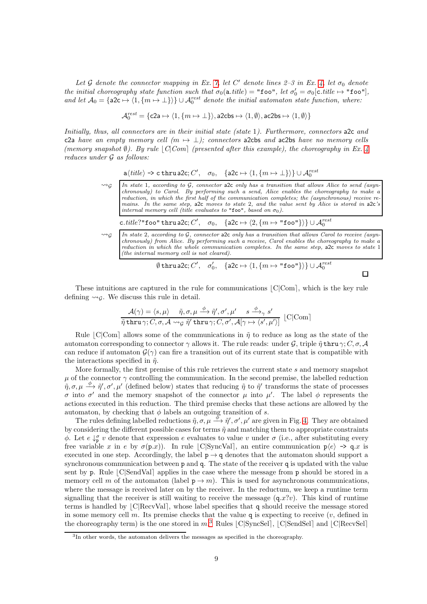Let G denote the connector mapping in Ex. [7,](#page-7-1) let C' denote lines  $2-3$  in Ex. [4,](#page-5-3) let  $\sigma_0$  denote the initial choreography state function such that  $\sigma_0(\texttt{a.title}) = " \texttt{foo}", let \sigma'_0 = \sigma_0[\texttt{c.title} \mapsto " \texttt{foo}" ],$ and let  $A_0 = \{ \text{a2c} \mapsto \langle 1, \{m \mapsto \perp\} \rangle \} \cup A_0^{rest}$  denote the initial automaton state function, where:

$$
\mathcal{A}_0^{rest} = \{\texttt{c2a} \mapsto \langle 1, \{m \mapsto \bot\} \rangle, \texttt{a2cbs} \mapsto \langle 1, \emptyset \rangle, \texttt{ac2bs} \mapsto \langle 1, \emptyset \rangle\}
$$

Initially, thus, all connectors are in their initial state (state 1). Furthermore, connectors a2c and c2a have an empty memory cell  $(m \mapsto \bot)$ ; connectors a2cbs and ac2bs have no memory cells (memory snapshot  $\emptyset$ ). By rule  $\lvert C|\mathit{Com}\rvert$  (presented after this example), the choreography in Ex. [4](#page-5-3) reduces under G as follows:

$$
\mathtt{a}\langle\mathit{title}\rangle\texttt{\rightarrow}\mathtt{c}\mathtt{thru}\,\mathtt{a2c}; C',\quad\sigma_0,\quad\{\mathtt{a2c}\mapsto\langle 1,\{\mathit{m}\mapsto\bot\}\rangle\}\cup\mathcal{A}^{\mathit{rest}}_0
$$

| $\rightsquigarrow_G$ | In state 1, according to $G$ , connector alconly has a transition that allows Alice to send (asyn-<br>chronously) to Carol. By performing such a send, Alice enables the choreography to make a<br>reduction, in which the first half of the communication completes; the (asynchronous) receive re-<br>mains. In the same step, alcomoves to state 2, and the value sent by Alice is stored in alc's<br>internal memory cell (title evaluates to "foo", based on $\sigma_0$ ). |
|----------------------|---------------------------------------------------------------------------------------------------------------------------------------------------------------------------------------------------------------------------------------------------------------------------------------------------------------------------------------------------------------------------------------------------------------------------------------------------------------------------------|
|                      | c.title?"foo" thru a2c; C', $\sigma_0$ , {a2c $\mapsto \langle 2, \{m \mapsto$ "foo"}}} $\cup \mathcal{A}_0^{rest}$                                                                                                                                                                                                                                                                                                                                                             |
| $\rightsquigarrow_G$ | In state 2, according to $G$ , connector also only has a transition that allows Carol to receive (asyn-                                                                                                                                                                                                                                                                                                                                                                         |

 $\sim$ <sup>2</sup> In state 2, according to G, connector a2c only has a transition that allows Carol to receive (asyn-<br>chronously) from Alice. By performing such a receive, Carol enables the choreography to make a reduction in which the whole communication completes. In the same step,  $a2c$  moves to state 1 (the internal memory cell is not cleared).

$$
\emptyset \operatorname{thru} \operatorname{a2c}; C', \quad \sigma_0', \quad \{\operatorname{a2c} \mapsto \langle 1, \{m \mapsto \text{``foo''}\} \rangle\} \cup \mathcal{A}_0^{rest}
$$

 $\Box$ 

These intuitions are captured in the rule for communications  $|C|C$ om, which is the key rule defining  $\rightsquigarrow_c$ . We discuss this rule in detail.

$$
\frac{\mathcal{A}(\gamma) = \langle s, \mu \rangle \quad \tilde{\eta}, \sigma, \mu \stackrel{\phi}{\longrightarrow} \tilde{\eta}', \sigma', \mu' \quad s \stackrel{\phi}{\longrightarrow}_{\gamma} s'}{\tilde{\eta} \text{ thru } \gamma; C, \sigma, \mathcal{A} \leadsto_{\mathcal{G}} \tilde{\eta}' \text{ thru } \gamma; C, \sigma', \mathcal{A}[\gamma \mapsto \langle s', \mu' \rangle]} [C|\text{Com}]
$$

Rule  $|C|Com|$  allows some of the communications in  $\tilde{\eta}$  to reduce as long as the state of the automaton corresponding to connector  $\gamma$  allows it. The rule reads: under G, triple  $\tilde{\eta}$  thru  $\gamma$ ; C,  $\sigma$ , A can reduce if automaton  $\mathcal{G}(\gamma)$  can fire a transition out of its current state that is compatible with the interactions specified in  $\tilde{\eta}$ .

More formally, the first premise of this rule retrieves the current state  $s$  and memory snapshot  $\mu$  of the connector  $\gamma$  controlling the communication. In the second premise, the labelled reduction  $\tilde{\eta}, \sigma, \mu \stackrel{\phi}{\to} \tilde{\eta}', \sigma', \mu'$  (defined below) states that reducing  $\tilde{\eta}$  to  $\tilde{\eta}'$  transforms the state of processes σ into σ' and the memory snapshot of the connector  $\mu$  into  $\mu'$ . The label φ represents the actions executed in this reduction. The third premise checks that these actions are allowed by the automaton, by checking that  $\phi$  labels an outgoing transition of s.

The rules defining labelled reductions  $\tilde{\eta}, \sigma, \mu \stackrel{\phi}{\longrightarrow} \tilde{\eta}', \sigma', \mu'$  are given in Fig. [4.](#page-9-0) They are obtained by considering the different possible cases for terms  $\tilde{\eta}$  and matching them to appropriate constraints  $\phi$ . Let  $e \downarrow^{\sigma}_{p} v$  denote that expression e evaluates to value v under  $\sigma$  (i.e., after substituting every free variable x in e by  $\sigma(p,x)$ ). In rule  $|C|SyncVal|$ , an entire communication  $p(e) \rightarrow q.x$  is executed in one step. Accordingly, the label  $p \rightarrow q$  denotes that the automaton should support a synchronous communication between p and q. The state of the receiver q is updated with the value sent by p. Rule  $\lfloor C|\text{SendVal}\rfloor$  applies in the case where the message from p should be stored in a memory cell m of the automaton (label  $p \rightarrow m$ ). This is used for asynchronous communications, where the message is received later on by the receiver. In the reductum, we keep a runtime term signalling that the receiver is still waiting to receive the message  $(q.x?v)$ . This kind of runtime terms is handled by  $|C|$ RecvVal $|$ , whose label specifies that q should receive the message stored in some memory cell m. Its premise checks that the value q is expecting to receive  $(v, \text{ defined in})$ the choreography term) is the one stored in  $m^3$  $m^3$  Rules [C|SyncSel], [C|SendSel] and [C|RecvSel]

<span id="page-8-0"></span><sup>&</sup>lt;sup>3</sup>In other words, the automaton delivers the messages as specified in the choreography.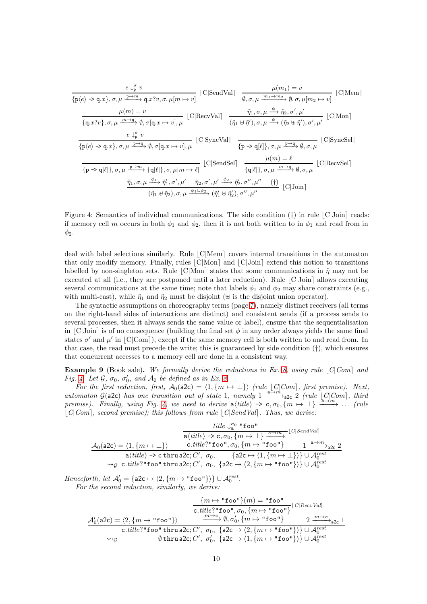$$
\frac{e \downarrow_{\varphi}^{\sigma} v}{\{p\langle e \rangle \to q.x\}, \sigma, \mu \xrightarrow{p \to m} q.x?v, \sigma, \mu[m \to v]} \quad [C|\text{SendVal}] \quad \frac{\mu(m_1) = v}{\emptyset, \sigma, \mu \xrightarrow{m_1 \to m_2} \emptyset, \sigma, \mu[m_2 \to v]} \quad [C|\text{Mem}]
$$
\n
$$
\frac{\mu(m) = v}{\{q.x?v\}, \sigma, \mu \xrightarrow{m \to q} \emptyset, \sigma[q.x \to v], \mu} \quad [C|\text{ReevVal}] \quad \frac{\tilde{\eta}_1, \sigma, \mu \xrightarrow{\phi} \tilde{\eta}_2, \sigma', \mu'}{\langle \tilde{\eta}_1 \oplus \tilde{\eta}', \tilde{\eta}, \sigma, \mu \xrightarrow{\phi} (\tilde{\eta}_2 \oplus \tilde{\eta}'), \sigma', \mu'} \quad [C|\text{Mon}]
$$
\n
$$
\frac{e \downarrow_{\varphi}^{\sigma} v}{\{p\langle e \rangle \to q.x\}, \sigma, \mu \xrightarrow{p \to q} \emptyset, \sigma[q.x \to v], \mu} \quad [C|\text{SyncVal}] \quad \frac{\mu(m) = \ell}{\{p \to q[\ell]\}, \sigma, \mu \xrightarrow{p \to q} \emptyset, \sigma, \mu} \quad [C|\text{SyncSel}]
$$
\n
$$
\frac{\mu(m) = \ell}{\{p \to q[\ell]\}, \sigma, \mu \xrightarrow{p \to m} \{q[\ell]\}, \sigma, \mu[m \to \ell]} \quad [C|\text{SendSel}] \quad \frac{\mu(m) = \ell}{\{q[\ell]\}, \sigma, \mu \xrightarrow{m \to q} \emptyset, \sigma, \mu} \quad [C|\text{ReevSel}]
$$
\n
$$
\frac{\tilde{\eta}_1, \sigma, \mu \xrightarrow{\phi_1} \tilde{\eta}_1', \sigma', \mu' \xrightarrow{\tilde{\eta}_2} \sigma', \mu' \xrightarrow{\phi_2} \tilde{\eta}_2', \sigma'', \mu'' \quad (\dagger)}{\{C|\text{Join}|}
$$
\n
$$
(\tilde{\eta}_1 \oplus \tilde{\eta}_2), \sigma, \mu \xrightarrow{\phi_1 \cup \phi_2} (\tilde{\eta}_1' \oplus \tilde{\eta}_2'), \sigma'', \mu''} \quad [C|\text{Join}|
$$

<span id="page-9-0"></span>Figure 4: Semantics of individual communications. The side condition  $(\dagger)$  in rule  $|C|$ Join $|$  reads: if memory cell m occurs in both  $\phi_1$  and  $\phi_2$ , then it is not both written to in  $\phi_1$  and read from in  $\phi_2$ .

deal with label selections similarly. Rule  $|C|$ Mem covers internal transitions in the automaton that only modify memory. Finally, rules  $|C|$ Mon $|$  and  $|C|$ Join $|$  extend this notion to transitions labelled by non-singleton sets. Rule  $|C|$ Mon $|$  states that some communications in  $\tilde{\eta}$  may not be executed at all (i.e., they are postponed until a later reduction). Rule  $|C|$ Join $|$  allows executing several communications at the same time; note that labels  $\phi_1$  and  $\phi_2$  may share constraints (e.g., with multi-cast), while  $\tilde{\eta}_1$  and  $\tilde{\eta}_2$  must be disjoint ( $\uplus$  is the disjoint union operator).

The syntactic assumptions on choreography terms (page [7\)](#page-5-3), namely distinct receivers (all terms on the right-hand sides of interactions are distinct) and consistent sends (if a process sends to several processes, then it always sends the same value or label), ensure that the sequentialisation in  $|C|$ Join $|$  is of no consequence (building the final set  $\phi$  in any order always yields the same final states  $\sigma'$  and  $\mu'$  in [C|Com]), except if the same memory cell is both written to and read from. In that case, the read must precede the write; this is guaranteed by side condition  $(†)$ , which ensures that concurrent accesses to a memory cell are done in a consistent way.

<span id="page-9-1"></span>**Example 9** (Book sale). We formally derive the reductions in Ex. [8,](#page-7-0) using rule  $|C|$ Com and Fig. [4.](#page-9-0) Let  $\mathcal{G}, \sigma_0, \sigma'_0, \text{ and } \mathcal{A}_0$  be defined as in Ex. [8.](#page-7-0)

For the first reduction, first,  $A_0(a2c) = \langle 1, \{m \mapsto \perp\} \rangle$  (rule  $\lfloor C \rfloor Com \rfloor$ , first premise). Next, automaton  $\mathcal{G}(\text{a2c})$  has one transition out of state 1, namely 1  $\xrightarrow{\text{a}\rightarrow m}_{\text{a2c}}$  2 (rule  $\lfloor C|Com \rfloor$ , third premise). Finally, using Fig. [4,](#page-9-0) we need to derive  $a\langle title \rangle \rightarrow c, \sigma_0, \{ m \mapsto \bot \} \stackrel{\lambda \rightarrow m}{\longrightarrow} \ldots$  (rule  $|C|Com]$ , second premise); this follows from rule  $|C|SendVal$ . Thus, we derive:

$$
\label{eq:1} \begin{array}{c} \it title \downarrow_{\mathbf{a}}^{\sigma_{0}} \text{``foo''} \\ \hline \texttt{a}\langle \it title \rangle \rightarrow \texttt{c}, \sigma_{0}, \{m \mapsto \bot\} \xrightarrow{\mathbf{a} \rightarrow m} \texttt{[C|SendVal]} \\ \mathcal{A}_{0}(\mathbf{a2c}) = \langle 1, \{m \mapsto \bot\} \rangle & \quad \texttt{c.title?''foo'', } \sigma_{0}, \{m \mapsto \texttt{``foo''}\} & \quad \texttt{1} \xrightarrow{\mathbf{a} \rightarrow m} \texttt{a2c} \; \texttt{2} \\ \hline \texttt{a}\langle \it title \rangle \rightarrow \texttt{c. thrua2c}; C', \; \sigma_{0}, \quad \texttt{a2c} \mapsto \langle 1, \{m \mapsto \bot\} \rangle \} \cup \mathcal{A}_{0}^{rest} \\ \leadsto_{\mathcal{G}} \texttt{c.title?''foo'' thrua2c}; C', \; \sigma_{0}, \; \{\mathbf{a2c} \mapsto \langle 2, \{m \mapsto \texttt{``foo''}\} \rangle \} \cup \mathcal{A}_{0}^{rest} \end{array}
$$

Henceforth, let  $\mathcal{A}'_0 = \{ \mathsf{a2c} \mapsto \langle 2, \{m \mapsto \text{``foo''}\} \rangle \} \cup \mathcal{A}_0^{rest}.$ For the second reduction, similarly, we derive:

$$
\frac{\{m \mapsto \text{``foo''}\}(m) = \text{``foo''}}{\text{c. title?''foo'', } \sigma_0, \{m \mapsto \text{``foo''}\}} \cdot \text{C|RecvVal}
$$
\n
$$
\frac{\mathcal{A}'_0(\text{a2c}) = \langle 2, \{m \mapsto \text{``foo''}\}\rangle \qquad \xrightarrow{m \to c} \emptyset, \sigma'_0, \{m \mapsto \text{``foo''}\} \qquad 2 \xrightarrow{m \to c} \text{a2c}}{m \leftrightarrow c. title? \text{``foo''} \text{thrua2c}; C', \sigma_0, \{a2c \mapsto \langle 2, \{m \mapsto \text{``foo''}\}\rangle\} \cup \mathcal{A}_0^{rest}
$$
\n
$$
\sim_{\mathcal{G}} \qquad \emptyset \text{thrua2c}; C', \sigma'_0, \{a2c \mapsto \langle 1, \{m \mapsto \text{``foo''}\}\rangle\} \cup \mathcal{A}_0^{rest}
$$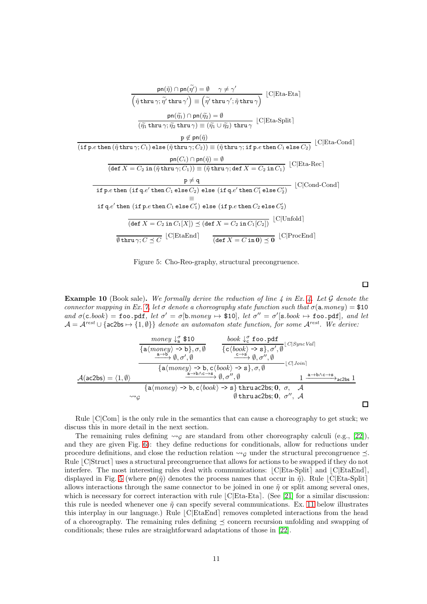

<span id="page-10-0"></span>Figure 5: Cho-Reo-graphy, structural precongruence.

<span id="page-10-1"></span>**Example 10** (Book sale). We formally derive the reduction of line  $\ddot{A}$  in Ex.  $\ddot{A}$ . Let  $\ddot{G}$  denote the connector mapping in Ex. [7,](#page-7-1) let  $\sigma$  denote a choreography state function such that  $\sigma(\mathbf{a}.money) = \$10$ and  $\sigma(c \cdot book) = \texttt{foo.pdf}$ , let  $\sigma' = \sigma[\texttt{b}.money \mapsto \$10]$ , let  $\sigma'' = \sigma'[\texttt{s}.book \mapsto \texttt{foo.pdf}$ , and let  $\mathcal{A} = \mathcal{A}^{rest} \cup \{\text{ac2bs} \mapsto \{1, \emptyset\}\}\$ denote an automaton state function, for some  $\mathcal{A}^{rest}$ . We derive:

 $\Box$ 

$$
\frac{\text{money } \downarrow_{a}^{\sigma} \$ 10}{\{a\langle \text{money} \rangle \rightarrow b\}, \sigma, \emptyset} \qquad \frac{\text{book } \downarrow_{c}^{\sigma} \text{foo.pdf}}{\{c\langle \text{book} \rangle \rightarrow s\}, \sigma', \emptyset} \cup \text{[C|SyncVal]}\n\frac{\frac{a \rightarrow b}{a \rightarrow b} \emptyset, \sigma', \emptyset}{\{c\langle \text{book} \rangle \rightarrow s\}, \sigma', \emptyset} \cup \text{[C|Join]}\n\frac{A(ac2bs) = \langle 1, \emptyset \rangle}{\{a\langle \text{money} \rangle \rightarrow b, c\langle \text{book} \rangle \rightarrow s\}, \sigma, \emptyset} \cup \text{[C|Join]}\n\frac{A(ac2bs) = \langle 1, \emptyset \rangle}{\{a\langle \text{money} \rangle \rightarrow b, c\langle \text{book} \rangle \rightarrow s\} \text{thru } ac2bs; 0, \sigma, \mathcal{A}\n\frac{\langle \text{thru } ac2bs \rangle}{\{a\langle \text{trur } ac2bs \rangle, \emptyset, \sigma', \emptyset \rangle} \cup \text{thru } ac2bs; 0, \sigma', \mathcal{A}\n\frac{\langle \text{thru } ac2bs \rangle}{\{a\langle \text{trur } ac2bs \rangle, \emptyset, \sigma', \emptyset \rangle}} \cup \text{[C|Join]}\n\frac{\langle \text{thru } ac2bs \rangle}{\{a\langle \text{metr } ac2bs \rangle, \emptyset, \sigma', \emptyset \rangle} \cup \text{[C|Join]}\n\frac{\langle \text{thru } ac2bs \rangle}{\{a\langle \text{metr } ac2bs \rangle, \emptyset, \emptyset \rangle} \cup \text{[C|Join]}\n\frac{\langle \text{thru } ac2bs \rangle}{\{a\langle \text{metr } ac2bs \rangle, \emptyset, \emptyset \rangle} \cup \text{[C|Join]}\n\frac{\langle \text{thru } ac2bs \rangle}{\{a\langle \text{metr } ac2bs \rangle, \emptyset, \emptyset \rangle} \cup \text{[C|Join]}\n\frac{\langle \text{thru } ac2bs \rangle}{\{a\langle \text{metr } ac2bs \rangle, \emptyset, \emptyset \rangle} \cup \text{[C|Join]}\n\frac{\langle \text{
$$

Rule  $|C|Com|$  is the only rule in the semantics that can cause a choreography to get stuck; we discuss this in more detail in the next section.

The remaining rules defining  $\rightsquigarrow_{\mathcal{G}}$  are standard from other choreography calculi (e.g., [\[22\]](#page-24-2)), and they are given Fig. [6\)](#page-11-0): they define reductions for conditionals, allow for reductions under procedure definitions, and close the reduction relation  $\rightsquigarrow_{\mathcal{G}}$  under the structural precongruence  $\prec$ . Rule  $|C|$ Struct uses a structural precongruence that allows for actions to be swapped if they do not interfere. The most interesting rules deal with communications:  $|C|Eta-Split|$  and  $|C|EtaEnd$ , displayed in Fig. [5](#page-10-0) (where  $pn(\tilde{\eta})$  denotes the process names that occur in  $\tilde{\eta}$ ). Rule  $|C|$ Eta-Split allows interactions through the same connector to be joined in one  $\tilde{n}$  or split among several ones. which is necessary for correct interaction with rule  $|C|$ Eta-Eta $|$ . (See [\[21\]](#page-24-17) for a similar discussion: this rule is needed whenever one  $\tilde{\eta}$  can specify several communications. Ex. [11](#page-11-1) below illustrates this interplay in our language.) Rule  $|C|EtaEnd|$  removes completed interactions from the head of a choreography. The remaining rules defining  $\preceq$  concern recursion unfolding and swapping of conditionals; these rules are straightforward adaptations of those in [\[22\]](#page-24-2).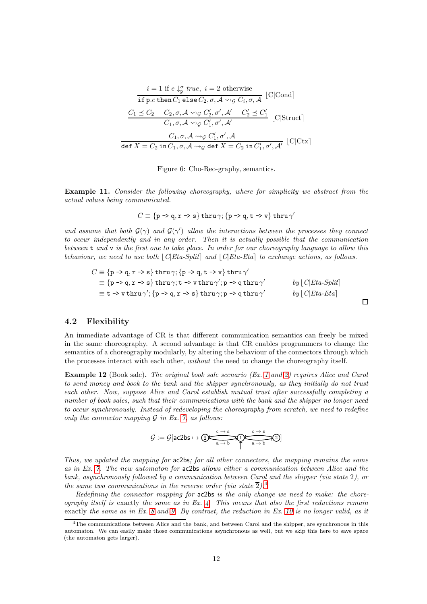$$
i = 1 \text{ if } e \downarrow^{\sigma}_{p} true, i = 2 \text{ otherwise}
$$
  
\nif p.e then  $C_1$  else  $C_2, \sigma, \mathcal{A} \leadsto_{\mathcal{G}} C_i, \sigma, \mathcal{A}$  [C|Cond]  
\n
$$
\frac{C_1 \preceq C_2 \quad C_2, \sigma, \mathcal{A} \leadsto_{\mathcal{G}} C'_2, \sigma', \mathcal{A'} \quad C'_2 \preceq C'_1}{C_1, \sigma, \mathcal{A} \leadsto_{\mathcal{G}} C'_1, \sigma', \mathcal{A'}} \quad [C|Struct]
$$
  
\n
$$
C_1, \sigma, \mathcal{A} \leadsto_{\mathcal{G}} C'_1, \sigma', \mathcal{A}
$$
  
\ndef  $X = C_2$  in  $C_1, \sigma, \mathcal{A} \leadsto_{\mathcal{G}} \text{def } X = C_2$  in  $C'_1, \sigma', \mathcal{A'} \quad [C|Ctx]$ 

<span id="page-11-0"></span>Figure 6: Cho-Reo-graphy, semantics.

<span id="page-11-1"></span>Example 11. Consider the following choreography, where for simplicity we abstract from the actual values being communicated.

$$
C \equiv \{p \rightarrow q, r \rightarrow s\} \text{ thru }\gamma; \{p \rightarrow q, t \rightarrow v\} \text{ thru }\gamma'
$$

and assume that both  $G(\gamma)$  and  $G(\gamma')$  allow the interactions between the processes they connect to occur independently and in any order. Then it is actually possible that the communication between t and v is the first one to take place. In order for our choreography language to allow this behaviour, we need to use both  $|C|Eta-Split|$  and  $|C|Eta-Eta|$  to exchange actions, as follows.

$$
C \equiv \{p \rightarrow q, r \rightarrow s\} \text{thru}\gamma; \{p \rightarrow q, t \rightarrow v\} \text{thru}\gamma'
$$
  
\n
$$
\equiv \{p \rightarrow q, r \rightarrow s\} \text{thru}\gamma; t \rightarrow v \text{thru}\gamma'; p \rightarrow q \text{thru}\gamma'
$$
  
\n
$$
\equiv t \rightarrow v \text{thru}\gamma'; \{p \rightarrow q, r \rightarrow s\} \text{thru}\gamma; p \rightarrow q \text{thru}\gamma'
$$
  
\n
$$
by \lfloor C|Eta-Split \rfloor
$$
  
\n
$$
by \lfloor C|Eta-Eta \rfloor
$$

### 4.2 Flexibility

An immediate advantage of CR is that different communication semantics can freely be mixed in the same choreography. A second advantage is that CR enables programmers to change the semantics of a choreography modularly, by altering the behaviour of the connectors through which the processes interact with each other, without the need to change the choreography itself.

<span id="page-11-3"></span>Example [1](#page-2-1)2 (Book sale). The original book sale scenario (Ex. 1 and [2\)](#page-2-2) requires Alice and Carol to send money and book to the bank and the shipper synchronously, as they initially do not trust each other. Now, suppose Alice and Carol establish mutual trust after successfully completing a number of book sales, such that their communications with the bank and the shipper no longer need to occur synchronously. Instead of redeveloping the choreography from scratch, we need to redefine only the connector mapping  $\mathcal G$  in Ex. [7,](#page-7-1) as follows:

$$
\mathcal{G} := \mathcal{G}[\text{ac2bs} \mapsto \textcircled{\underbrace{\mathbb{R} \xrightarrow{c \to s} \mathbb{R} \xrightarrow{c \to s} \mathbb{R} \mathbb{R}} \textcircled{2}]}
$$

Thus, we updated the mapping for ac2bs; for all other connectors, the mapping remains the same as in Ex. [7.](#page-7-1) The new automaton for ac2bs allows either a communication between Alice and the bank, asynchronously followed by a communication between Carol and the shipper (via state 2), or the same two communications in the reverse order (via state  $\overline{2}$ ).<sup>[4](#page-11-2)</sup>

Redefining the connector mapping for ac2bs is the only change we need to make: the choreography itself is exactly the same as in Ex. [4.](#page-5-3) This means that also the first reductions remain exactly the same as in Ex. [8](#page-7-0) and [9.](#page-9-1) By contrast, the reduction in Ex. [10](#page-10-1) is no longer valid, as it

<span id="page-11-2"></span><sup>&</sup>lt;sup>4</sup>The communications between Alice and the bank, and between Carol and the shipper, are synchronous in this automaton. We can easily make those communications asynchronous as well, but we skip this here to save space (the automaton gets larger).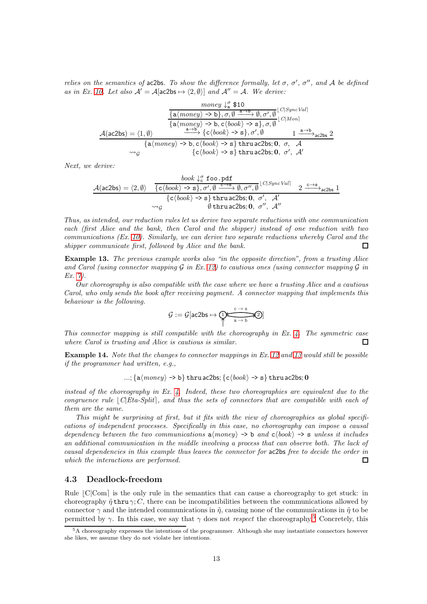relies on the semantics of ac2bs. To show the difference formally, let  $\sigma$ ,  $\sigma'$ ,  $\sigma''$ , and A be defined as in Ex. [10.](#page-10-1) Let also  $\mathcal{A}' = \mathcal{A}[\text{ac2bs} \mapsto \langle 2, \emptyset \rangle]$  and  $\mathcal{A}'' = \mathcal{A}$ . We derive:

$$
\frac{\text{money } \downarrow_{\alpha}^{\sigma} \$ 10}{\{a(\text{money}) \rightarrow b\}, \sigma, \emptyset \xrightarrow{a \rightarrow b} \emptyset, \sigma', \emptyset} \xrightarrow{[C|\text{sync Val}]}
$$
\n
$$
\frac{\mathcal{A}(ac2bs) = \langle 1, \emptyset \rangle}{\{a(\text{money}) \rightarrow b, c(\text{book}) \rightarrow s\}, \sigma, \emptyset} \xrightarrow{[C|\text{Mon}]}
$$
\n
$$
\frac{\mathcal{A}(ac2bs) = \langle 1, \emptyset \rangle \xrightarrow{a \rightarrow b} \{c(\text{book}) \rightarrow s\}, \sigma', \emptyset \xrightarrow{1 \xrightarrow{a \rightarrow b} a \text{ c2bs}} 2 \xrightarrow{[a(\text{money}) \rightarrow b, c(\text{book}) \rightarrow s] \text{ thru } ac2bs; \mathbf{0}, \sigma, \mathcal{A}}}{\{c(\text{book}) \rightarrow s\} \text{ thru } ac2bs; \mathbf{0}, \sigma', \mathcal{A}'}
$$

Next, we derive:

A(ac2bs) = h2, ∅i book ↓ σ <sup>c</sup> foo.pdf {chbooki -> s}, σ′ , ∅ <sup>c</sup>→<sup>s</sup> −−−→ ∅, σ′′ , ∅ ⌊C|SyncVal⌉ 2 <sup>c</sup>→<sup>s</sup> −−−→ac2bs 1 {chbook i -> s} thru ac2bs; 0, σ′ , A′ <sup>G</sup> ∅ thru ac2bs; 0, σ′′ , A′′

Thus, as intended, our reduction rules let us derive two separate reductions with one communication each (first Alice and the bank, then Carol and the shipper) instead of one reduction with two communications (Ex. [10\)](#page-10-1). Similarly, we can derive two separate reductions whereby Carol and the shipper communicate first, followed by Alice and the bank.  $\Box$ 

<span id="page-12-1"></span>Example 13. The previous example works also "in the opposite direction", from a trusting Alice and Carol (using connector mapping  $\mathcal G$  in Ex. [12\)](#page-11-3) to cautious ones (using connector mapping  $\mathcal G$  in Ex. [7\)](#page-7-1).

Our choreography is also compatible with the case where we have a trusting Alice and a cautious Carol, who only sends the book after receiving payment. A connector mapping that implements this behaviour is the following.

$$
\mathcal{G}:=\mathcal{G}[\mathsf{ac2bs}\mapsto \overbrace{\mathsf{R}\xrightarrow{a\to b}}^{\mathsf{c}\to s}\mathsf{S}]
$$

This connector mapping is still compatible with the choreography in Ex. [4.](#page-5-3) The symmetric case where Carol is trusting and Alice is cautious is similar.  $\Box$ 

Example 14. Note that the changes to connector mappings in Ex. [12](#page-11-3) and [13](#page-12-1) would still be possible if the programmer had written, e.g.,

$$
...; \{a \langle \textit{money} \rangle \rightarrow b\} \text{ thru} \, ac2 \text{bs}; \{c \langle \textit{book} \rangle \rightarrow s\} \, \text{thru} \, ac2 \text{bs}; 0
$$

instead of the choreography in Ex.  $\ddot{4}$ . Indeed, these two choreographies are equivalent due to the congruence rule  $|C|Eta-Split|$ , and thus the sets of connectors that are compatible with each of them are the same.

This might be surprising at first, but it fits with the view of choreographies as global specifications of independent processes. Specifically in this case, no choreography can impose a causal dependency between the two communications  $a\langle money \rangle \rightarrow b$  and  $c\langle book \rangle \rightarrow s$  unless it includes an additional communication in the middle involving a process that can observe both. The lack of causal dependencies in this example thus leaves the connector for ac2bs free to decide the order in which the interactions are performed.  $\Box$ 

### <span id="page-12-0"></span>4.3 Deadlock-freedom

Rule  $|C|Com|$  is the only rule in the semantics that can cause a choreography to get stuck: in choreography  $\tilde{\eta}$  thru  $\gamma$ ; C, there can be incompatibilities between the communications allowed by connector  $\gamma$  and the intended communications in  $\tilde{\eta}$ , causing none of the communications in  $\tilde{\eta}$  to be permitted by  $\gamma$ . In this case, we say that  $\gamma$  does not *respect* the choreography.<sup>[5](#page-12-2)</sup> Concretely, this

<span id="page-12-2"></span><sup>5</sup>A choreography expresses the intentions of the programmer. Although she may instantiate connectors however she likes, we assume they do not violate her intentions.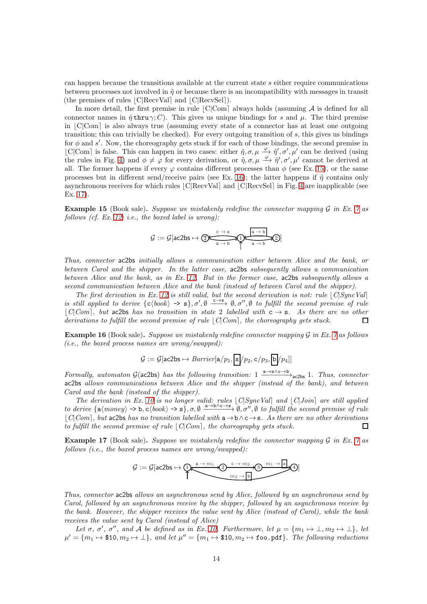can happen because the transitions available at the current state s either require communications between processes not involved in  $\tilde{\eta}$  or because there is an incompatibility with messages in transit (the premises of rules  $|C|$ RecvVal and  $|C|$ RecvSel  $|$ ).

In more detail, the first premise in rule  $\lfloor C|Com \rfloor$  always holds (assuming A is defined for all connector names in  $\tilde{\eta}$  thru  $\gamma$ ; C). This gives us unique bindings for s and  $\mu$ . The third premise in  $|C|Com$  is also always true (assuming every state of a connector has at least one outgoing transition; this can trivially be checked). For every outgoing transition of s, this gives us bindings for  $\phi$  and s'. Now, the choreography gets stuck if for each of those bindings, the second premise in [C|Com] is false. This can happen in two cases: either  $\tilde{\eta}, \sigma, \mu \xrightarrow{\varphi} \tilde{\eta}', \sigma', \mu'$  can be derived (using the rules in Fig. [4\)](#page-9-0) and  $\phi \neq \varphi$  for every derivation, or  $\eta, \sigma, \mu \xrightarrow{\varphi} \eta', \sigma', \mu'$  cannot be derived at all. The former happens if every  $\varphi$  contains different processes than  $\phi$  (see Ex. [15\)](#page-13-0), or the same processes but in different send/receive pairs (see Ex. [16\)](#page-13-1); the latter happens if  $\tilde{\eta}$  contains only asynchronous receives for which rules  $|C|$ RecvVal and  $|C|$ RecvSel in Fig. [4](#page-9-0) are inapplicable (see Ex. [17\)](#page-13-2).

<span id="page-13-0"></span>**Example 15** (Book sale). Suppose we mistakenly redefine the connector mapping  $G$  in Ex. [7](#page-7-1) as follows (cf. Ex. [12;](#page-11-3) i.e., the boxed label is wrong):

$$
\mathcal{G}:=\mathcal{G}[\text{ac2bs}\mapsto\textcircled{\tiny 2\text{max}}\overbrace{\text{a\rightarrow b}}^{\text{c\rightarrow s}}\text{D}\text{a\rightarrow b}\text{D}]
$$

Thus, connector ac2bs initially allows a communication either between Alice and the bank, or between Carol and the shipper. In the latter case, ac2bs subsequently allows a communication between Alice and the bank, as in Ex. [12.](#page-11-3) But in the former case, ac2bs subsequently allows a second communication between Alice and the bank (instead of between Carol and the shipper).

The first derivation in Ex. [12](#page-11-3) is still valid, but the second derivation is not: rule  $|C|SyncVal|$ is still applied to derive  $\{c\langle book\rangle \rightarrow s\}, \sigma', \emptyset \xrightarrow{c \rightarrow s} \emptyset, \sigma'', \emptyset$  to fulfill the second premise of rule  $\lfloor C|Com \rfloor$ , but ac2bs has no transition in state 2 labelled with  $c \rightarrow s$ . As there are no other derivations to fulfill the second premise of rule  $|C|Com|$ , the choreography gets stuck.  $\Box$ 

<span id="page-13-1"></span>**Example 16** (Book sale). Suppose we mistakenly redefine connector mapping  $G$  in Ex. [7](#page-7-1) as follows (*i.e.*, the boxed process names are wrong/swapped):

$$
\mathcal{G}:=\mathcal{G}[\texttt{ac2bs}\mapsto \textit{Barrier}[\texttt{a}/p_1,\boxed{\texttt{s}}/p_2,\texttt{c}/p_3,\boxed{\texttt{b}}/p_4]]
$$

Formally, automaton  $\mathcal{G}(\text{ac2bs})$  has the following transition:  $1 \xrightarrow{\text{a}\rightarrow\text{s}\wedge\text{c}\rightarrow\text{b}}$ <sub>ac2bs</sub> 1. Thus, connector ac2bs allows communications between Alice and the shipper (instead of the bank), and between Carol and the bank (instead of the shipper).

The derivation in Ex. [10](#page-10-1) is no longer valid: rules  $|C|SyncVal|$  and  $|C|Join|$  are still applied to derive  $\{a(money) \rightarrow b, c\langle book\rangle \rightarrow s\}, \sigma, \emptyset \xrightarrow{a \rightarrow b \wedge c \rightarrow s} \emptyset, \sigma'', \emptyset$  to fulfill the second premise of rule  $\vert C|Com\vert$ , but ac2bs has no transition labelled with  $a \rightarrow b \wedge c \rightarrow s$ . As there are no other derivations to fulfill the second premise of rule  $|C|Com$ , the choreography gets stuck.  $\Box$ 

<span id="page-13-2"></span>**Example 17** (Book sale). Suppose we mistakenly redefine the connector mapping  $\mathcal G$  in Ex. [7](#page-7-1) as follows (i.e., the boxed process names are wrong/swapped):

$$
\mathcal{G} := \mathcal{G}[\text{ac2bs} \mapsto \underbrace{\text{max} \, \text{max} \, \text{max} \, \text{max} \, \text{max} \, \text{max} \, \text{max} \, \text{max} \, \text{max} \, \text{max} \, \text{max} \, \text{max} \, \text{max} \, \text{max} \, \text{max} \, \text{max} \, \text{max} \, \text{max} \, \text{max} \, \text{max} \, \text{max} \, \text{max} \, \text{max} \, \text{max} \, \text{max} \, \text{max} \, \text{max} \, \text{max} \, \text{max} \, \text{max} \, \text{max} \, \text{max} \, \text{max} \, \text{max} \, \text{max} \, \text{max} \, \text{max} \, \text{max} \, \text{max} \, \text{max} \, \text{max} \, \text{max} \, \text{max} \, \text{max} \, \text{max} \, \text{max} \, \text{max} \, \text{max} \, \text{max} \, \text{max} \, \text{max} \, \text{max} \, \text{max} \, \text{max} \, \text{max} \, \text{max} \, \text{max} \, \text{max} \, \text{max} \, \text{max} \, \text{max} \, \text{max} \, \text{max} \, \text{max} \, \text{max} \, \text{max} \, \text{max} \, \text{max} \, \text{max} \, \text{max} \, \text{max} \, \text{max} \, \text{max} \, \text{max} \, \text{max} \, \text{max} \, \text{max} \, \text{max} \, \text{max} \, \text{max} \, \text{max} \, \text{max} \, \text{max} \, \text{max} \, \text{max} \, \text{max} \, \text{max} \, \text{max} \, \text{max} \, \text{max} \, \text{max} \, \text{max} \, \text{max} \, \text{max} \, \text{max} \, \text{max} \, \text{max} \, \text{max} \, \text{max} \, \text{max} \, \text{max} \, \text{max} \, \text{max} \, \text{max} \, \text{max} \
$$

Thus, connector ac2bs allows an asynchronous send by Alice, followed by an asynchronous send by Carol, followed by an asynchronous receive by the shipper, followed by an asynchronous receive by the bank. However, the shipper receives the value sent by Alice (instead of Carol), while the bank receives the value sent by Carol (instead of Alice)

Let  $\sigma$ ,  $\sigma'$ ,  $\sigma''$ , and A be defined as in Ex. [10.](#page-10-1) Furthermore, let  $\mu = \{m_1 \mapsto \bot, m_2 \mapsto \bot\}$ , let  $\mu' = \{m_1 \mapsto $10, m_2 \mapsto \bot\}$ , and let  $\mu'' = \{m_1 \mapsto $10, m_2 \mapsto \texttt{foo.pdf}\}$ . The following reductions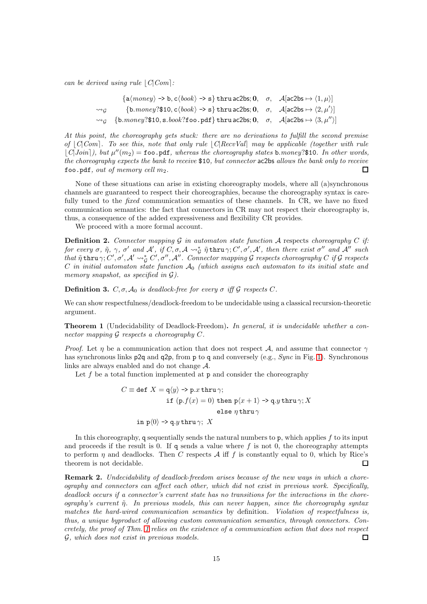can be derived using rule  $|C|Com$ :

|                      | $\{a(money) \rightarrow b, c\langle book \rangle \rightarrow s\}$ thru ac2bs; 0, $\sigma$ , $A[ac2bs \rightarrow \langle 1, \mu \rangle]$         |  |
|----------------------|---------------------------------------------------------------------------------------------------------------------------------------------------|--|
| $\rightsquigarrow_G$ | $\{b{\text{.}money?}\$10, c\langle book\rangle \rightarrow s\}$ thru ac2bs; 0, $\sigma$ , $\mathcal{A}[ac2bs \rightarrow \langle 2, \mu'\rangle]$ |  |
|                      | $\rightsquigarrow_G$ {b.money?\$10, s.book?foo.pdf} thru ac2bs; 0, $\sigma$ , $\mathcal{A}[ac2bs \mapsto \langle 3, \mu'' \rangle]$               |  |

At this point, the choreography gets stuck: there are no derivations to fulfill the second premise of  $|C|Com$ . To see this, note that only rule  $|C|$ RecvVal may be applicable (together with rule  $\lfloor C |Join \rfloor$ ), but  $\mu''(m_2) = \texttt{foo.pdf}$ , whereas the choreography states b.money?\$10. In other words, the choreography expects the bank to receive \$10, but connector ac2bs allows the bank only to receive foo.pdf, out of memory cell  $m_2$ .  $\Box$ 

None of these situations can arise in existing choreography models, where all (a)synchronous channels are guaranteed to respect their choreographies, because the choreography syntax is carefully tuned to the *fixed* communication semantics of these channels. In CR, we have no fixed communication semantics: the fact that connectors in CR may not respect their choreography is, thus, a consequence of the added expressiveness and flexibility CR provides.

We proceed with a more formal account.

<span id="page-14-1"></span>**Definition 2.** Connector mapping G in automaton state function A respects choreography C if: for every  $\sigma$ ,  $\tilde{\eta}$ ,  $\gamma$ ,  $\sigma'$  and  $\mathcal{A}'$ , if  $C, \sigma, \mathcal{A} \leadsto_{\mathcal{G}}^* \tilde{\eta}$ thru $\gamma$ ;  $C', \sigma', \mathcal{A}'$ , then there exist  $\sigma''$  and  $\mathcal{A}''$  such  $\tilde{\eta}$  thru  $\gamma$ ;  $C', \sigma', \mathcal{A}' \leadsto^*_{\mathcal{G}} C', \sigma'', \mathcal{A}''$ . Connector mapping  $\mathcal G$  respects choreography  $C$  if  $\mathcal G$  respects  $C$  in initial automaton state function  $\mathcal{A}_0$  (which assigns each automaton to its initial state and memory snapshot, as specified in  $\mathcal{G}$ ).

**Definition 3.**  $C, \sigma, \mathcal{A}_0$  is deadlock-free for every  $\sigma$  iff  $\mathcal G$  respects C.

We can show respectfulness/deadlock-freedom to be undecidable using a classical recursion-theoretic argument.

<span id="page-14-0"></span>Theorem 1 (Undecidability of Deadlock-Freedom). In general, it is undecidable whether a connector mapping G respects a choreography C.

*Proof.* Let *n* be a communication action that does not respect A, and assume that connector  $\gamma$ has synchronous links p2q and q2p, from p to q and conversely (e.g., Sync in Fig. [1\)](#page-4-0). Synchronous links are always enabled and do not change A.

Let f be a total function implemented at  $p$  and consider the choreography

$$
C \equiv \text{def } X = \mathsf{q}\langle y \rangle \rightarrow \text{p} \cdot x \text{ thru } \gamma;
$$
  
if  $(\text{p} \cdot f(x) = 0)$  then  $\text{p}\langle x + 1 \rangle \rightarrow \text{q} \cdot y \text{ thru } \gamma; X$   
else  $\eta \text{ thru } \gamma$   
in  $\text{p}\langle 0 \rangle \rightarrow \text{q} \cdot y \text{ thru } \gamma; X$ 

In this choreography, q sequentially sends the natural numbers to  $p$ , which applies  $f$  to its input and proceeds if the result is 0. If q sends a value where  $f$  is not 0, the choreography attempts to perform  $\eta$  and deadlocks. Then C respects A iff f is constantly equal to 0, which by Rice's theorem is not decidable.  $\Box$ 

**Remark 2.** Undecidability of deadlock-freedom arises because of the new ways in which a choreography and connectors can affect each other, which did not exist in previous work. Specifically, deadlock occurs if a connector's current state has no transitions for the interactions in the choreography's current  $\tilde{\eta}$ . In previous models, this can never happen, since the choreography syntax matches the hard-wired communication semantics by definition. Violation of respectfulness is, thus, a unique byproduct of allowing custom communication semantics, through connectors. Concretely, the proof of Thm. [1](#page-14-0) relies on the existence of a communication action that does not respect G, which does not exist in previous models.  $\Box$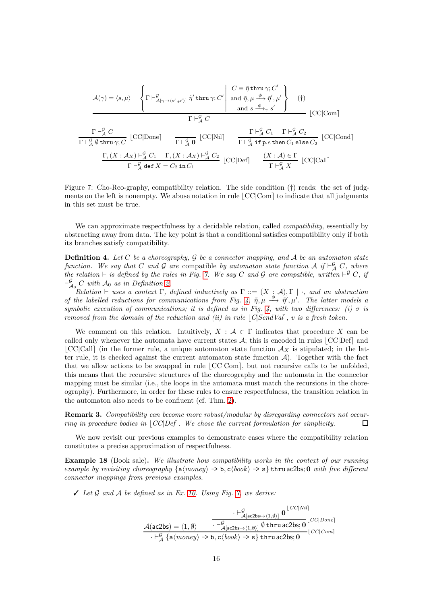$$
\mathcal{A}(\gamma) = \langle s, \mu \rangle \quad \left\{ \Gamma \vdash^{\mathcal{G}}_{\mathcal{A}[\gamma \to \langle s', \mu' \rangle]} \tilde{\eta}' \text{ thru } \gamma; C' \middle| \begin{array}{c} C \equiv \tilde{\eta} \text{ thru } \gamma; C' \\ \text{and } \tilde{\eta}, \mu \xrightarrow{\phi} \tilde{\eta}', \mu' \\ \text{and } s \xrightarrow{\phi} \gamma s' \end{array} \right\} \quad (\dagger)
$$
\n
$$
\Gamma \vdash^{\mathcal{G}}_{\mathcal{A}} C
$$
\n
$$
\Gamma \vdash^{\mathcal{G}}_{\mathcal{A}} C
$$
\n
$$
\Gamma \vdash^{\mathcal{G}}_{\mathcal{A}} C
$$
\n
$$
\Gamma \vdash^{\mathcal{G}}_{\mathcal{A}} \emptyset \text{ thru } \gamma; C \quad [CC | \text{Done} ] \qquad \frac{\Gamma \vdash^{\mathcal{G}}_{\mathcal{A}} C_1}{\Gamma \vdash^{\mathcal{G}}_{\mathcal{A}} \mathbf{0}} \quad [CC | \text{Nil} ] \qquad \frac{\Gamma \vdash^{\mathcal{G}}_{\mathcal{A}} C_1}{\Gamma \vdash^{\mathcal{G}}_{\mathcal{A}} \text{ if } p.e \text{ then } C_1 \text{ else } C_2} \quad [CC | \text{Cond} ]
$$
\n
$$
\frac{\Gamma, (X : \mathcal{A}_X) \vdash^{\mathcal{G}}_{\mathcal{A}} C_1}{\Gamma \vdash^{\mathcal{G}}_{\mathcal{A}} \text{ def } X = C_2 \text{ in } C_1} \quad [CC | \text{Def} ] \qquad \frac{(X : \mathcal{A}) \in \Gamma}{\Gamma \vdash^{\mathcal{G}}_{\mathcal{A}} X} \quad [CC | \text{Call} ]
$$

<span id="page-15-0"></span>Figure 7: Cho-Reo-graphy, compatibility relation. The side condition (†) reads: the set of judgments on the left is nonempty. We abuse notation in rule  $|CC|Com|$  to indicate that all judgments in this set must be true.

We can approximate respectfulness by a decidable relation, called *compatibility*, essentially by abstracting away from data. The key point is that a conditional satisfies compatibility only if both its branches satisfy compatibility.

<span id="page-15-1"></span>**Definition 4.** Let C be a choreography, G be a connector mapping, and A be an automaton state function. We say that C and G are compatible by automaton state function A if  $\vdash^{\mathcal{G}}_{\mathcal{A}} C$ , where the relation  $\vdash$  is defined by the rules in Fig. [7.](#page-15-0) We say C and G are compatible, written  $\vdash^{\mathcal{G}} C$ , if  $\vdash_{\mathcal{A}_0}^{\mathcal{G}} C$  with  $\mathcal{A}_0$  as in Definition [2.](#page-14-1)

Relation  $\vdash$  uses a context  $\Gamma$ , defined inductively as  $\Gamma ::= (X : \mathcal{A}), \Gamma | \cdot$ , and an abstraction of the labelled reductions for communications from Fig. [4,](#page-9-0)  $\tilde{\eta}, \mu \stackrel{\phi}{\longrightarrow} \tilde{\eta}', \mu'$ . The latter models a symbolic execution of communications; it is defined as in Fig. [4,](#page-9-0) with two differences: (i)  $\sigma$  is removed from the domain of the reduction and (ii) in rule  $|C|$ SendVal $|$ , v is a fresh token.

We comment on this relation. Intuitively,  $X : \mathcal{A} \in \Gamma$  indicates that procedure X can be called only whenever the automata have current states  $A$ ; this is encoded in rules  $|CC|Def|$  and  $|CC|Call|$  (in the former rule, a unique automaton state function  $\mathcal{A}_X$  is stipulated; in the latter rule, it is checked against the current automaton state function  $A$ ). Together with the fact that we allow actions to be swapped in rule  $|CC|Com|$ , but not recursive calls to be unfolded, this means that the recursive structures of the choreography and the automata in the connector mapping must be similar (i.e., the loops in the automata must match the recursions in the choreography). Furthermore, in order for these rules to ensure respectfulness, the transition relation in the automaton also needs to be confluent (cf. Thm. [2\)](#page-17-0).

Remark 3. Compatibility can become more robust/modular by disregarding connectors not occurring in procedure bodies in  $|CC|Def|$ . We chose the current formulation for simplicity.  $\Box$ 

We now revisit our previous examples to demonstrate cases where the compatibility relation constitutes a precise approximation of respectfulness.

Example 18 (Book sale). We illustrate how compatibility works in the context of our running example by revisiting choreography  $\{a(monev) \rightarrow b, c(book) \rightarrow s\}$  thru ac2bs; 0 with five different connector mappings from previous examples.

 $\angle$  Let  $\mathcal G$  and  $\mathcal A$  be defined as in Ex. [10.](#page-10-1) Using Fig. [7,](#page-15-0) we derive:

$$
\dfrac{\dfrac{\dfrac{\dfrac{\vdash\mathcal{G}}{\mathcal{G}}[\mathit{ac2bs}\mapsto\langle 1,\emptyset\rangle]\ \mathbf{0}}\ \Box\ \Box\ \mathcal{G}}[\mathit{cc}|\mathit{Nil}|}}{\dfrac{\mathcal{A}(\mathit{ac2bs}\mapsto\langle 1,\emptyset\rangle)}{\vdash\mathcal{G}}\mathsf{d}[\mathit{ac2bs}\mapsto\langle 1,\emptyset\rangle]\ \mathsf{0} \ \mathbf{thru}\ \mathit{ac2bs};\ \mathbf{0}}\ \Box\ \mathcal{G}\mathcal{G}|\mathit{Con}|}}\cdot\left|\dfrac{\mathcal{G}}{\mathsf{d}[\mathit{acq}\mathsf{m}\mathsf{m}\mathsf{m}\mathsf{m}]}\right|\mathcal{G}\mathsf{d}\mathsf{m}\mathsf{m}}\right|}{\mathsf{d}\mathsf{c}\mathsf{c}|\mathsf{Con}|}
$$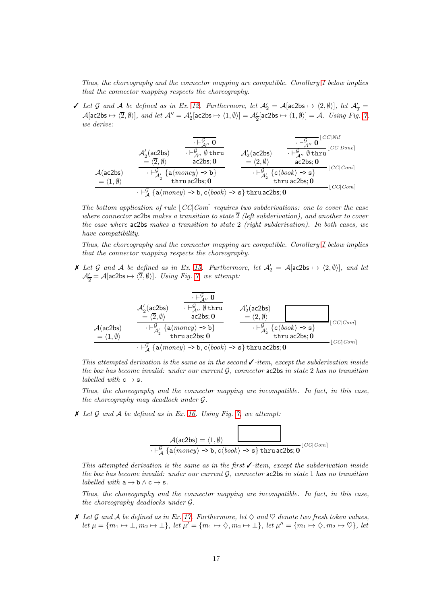Thus, the choreography and the connector mapping are compatible. Corollary [1](#page-18-0) below implies that the connector mapping respects the choreography.

*v* Let *G* and *A* be defined as in Ex. [12.](#page-11-3) Furthermore, let  $A'_2 = A$ [ac2bs  $\mapsto \langle 2, \emptyset \rangle$ ], let  $A'_2 =$  $\mathcal{A}[\text{ac2bs} \mapsto \langle 2, \emptyset \rangle],$  and let  $\mathcal{A}'' = \mathcal{A}'_2[\text{ac2bs} \mapsto \langle 1, \emptyset \rangle] = \mathcal{A}'_2[\text{ac2bs} \mapsto \langle 1, \emptyset \rangle] = \mathcal{A}.$  Using Fig. [7,](#page-15-0) we derive:

$$
\mathcal{A}(\text{ac2bs}) \quad\n\begin{array}{c|c}\n\overline{\mathcal{F}_{\mathcal{A}''}^{\mathbf{G}}} & \overline{\mathcal{F}_{\mathcal{A}''}^{\mathbf{G}}} & \overline{\mathcal{F}_{\mathcal{A}''}^{\mathbf{G}}}^{[CC|Nil]} \\
\hline\n\mathcal{A}(\text{ac2bs}) & \overline{\mathcal{F}_{\mathcal{A}''}^{\mathbf{G}}}^{\mathbf{G}} \text{thru} & \mathcal{A}'_2(\text{ac2bs}) & \overline{\mathcal{F}_{\mathcal{A}''}^{\mathbf{G}}}^{[CC|Nil]} \\
\hline\n\mathcal{A}(\text{ac2bs}) & \overline{\mathcal{F}_{\mathcal{A}'}^{\mathbf{G}}}^{[CC|Dicl]} & \overline{\mathcal{F}_{\mathcal{A}''}^{\mathbf{G}}}^{[CC|Dicl]} \\
\hline\n\mathcal{A}(\text{ac2bs}) & \overline{\mathcal{F}_{\mathcal{A}'}^{\mathbf{G}}}^{[CC|Dicl]} & \overline{\mathcal{F}_{\mathcal{A}''}^{\mathbf{G}}}^{[CC|Dicl]} & \overline{\mathcal{F}_{\mathcal{A}''}^{\mathbf{G}}}^{[CC|Dicl]} \\
\hline\n\mathcal{A}(\text{ac2bs}) & \overline{\mathcal{F}_{\mathcal{A}'}^{\mathbf{G}}}^{[CC|Dicl]} & \overline{\mathcal{F}_{\mathcal{A}'}}^{[CC|Dicl]} & \overline{\mathcal{F}_{\mathcal{A}''}^{\mathbf{G}}}^{[CC|Dicl]} & \overline{\mathcal{F}_{\mathcal{A}''}^{\mathbf{G}}}^{[CC|Dicl]} \\
\hline\n\mathcal{A}(\text{ac2bs}) & \overline{\mathcal{F}_{\mathcal{A}'}}^{[CC|Dicl]} & \overline{\mathcal{F}_{\mathcal{A}''}^{\mathbf{G}}}^{[CC|Dicl]} & \overline{\mathcal{F}_{\mathcal{A}''}^{\mathbf{G}}}^{[CC|Dicl]} & \overline{\mathcal{F}_{\mathcal{A}''}^{\mathbf{G}}}^{[CC|Dicl]} & \overline{\mathcal{F}_{\mathcal{A}''}^{\mathbf{G}}}^{[CC|Dicl]} \\
\hline\n\end{array}
$$

The bottom application of rule  $|CC|Com|$  requires two subderivations: one to cover the case where connector ac2bs makes a transition to state  $\overline{2}$  (left subderivation), and another to cover the case where ac2bs makes a transition to state 2 (right subderivation). In both cases, we have compatibility.

Thus, the choreography and the connector mapping are compatible. Corollary [1](#page-18-0) below implies that the connector mapping respects the choreography.

**X** Let G and A be defined as in Ex. [15.](#page-13-0) Furthermore, let  $A'_2 = A$ [ac2bs  $\mapsto \langle 2, \emptyset \rangle$ ], and let  $\mathcal{A}'_2 = \mathcal{A}[\mathsf{ac2bs} \mapsto \langle 2, \emptyset \rangle]$ . Using Fig. [7,](#page-15-0) we attempt:

$$
\mathcal{A}_{\frac{7}{2}}(ac2bs) \quad \begin{array}{c} \overline{\mathcal{F}_{\mathcal{A}''}} \ 0 \\ \overline{\mathcal{F}_{\mathcal{A}''}} \ 0 \\ \underline{=} \ \langle 2, \emptyset \rangle \\ \underline{A}(ac2bs) \\ \underline{=} \ \langle 1, \emptyset \rangle \end{array} \quad \begin{array}{c} \overline{\mathcal{F}_{\mathcal{A}''}} \ 0 \\ \overline{\mathcal{F}_{\mathcal{A}''}} \ \emptyset \ \text{thru} \\ \underline{ac2bs; 0} \\ \underline{theruczds; 0} \end{array} \quad \begin{array}{c} \mathcal{A}_{2}'(ac2bs) \\ \underline{=} \ \langle 2, \emptyset \rangle \\ \underline{=} \ \langle 2, \emptyset \rangle \end{array} \quad \begin{array}{c} \underline{C}(C|Com \\ \underline{C}(Com \\ \underline{C}(Com \\ \underline{C}(Com \\ \underline{C}(Com \\ \underline{C}(Com \\ \underline{C}(Com \\ \underline{C}(Com \\ \underline{C}(Com \\ \underline{C}(Com \\ \underline{C}(Com \\ \underline{C}(Com \\ \underline{C}(Com \\ \underline{C}(Com \\ \underline{C}(Com \\ \underline{C}(Com \\ \underline{C}(Com \\ \underline{C}(Com \\ \underline{C}(Com \\ \underline{C}(Com \\ \underline{C}(Com \\ \underline{C}(Com \\ \underline{C}(Com \\ \underline{C}(Com \\ \underline{C}(Com \\ \underline{C}(Com \\ \underline{C}(Com \\ \underline{C}(Com \\ \underline{C}(Com \\ \underline{C}(Com \\ \underline{C}(Com \\ \underline{C}(Com \\ \underline{C}(Com \\ \underline{C}(Com \\ \underline{C}(Com \\ \underline{C}(Com \\ \underline{C}(Com \\ \underline{C}(Com \\ \underline{C}(Com \\ \underline{C}(Com \\ \underline{C}(Com \\ \underline{C}(Com \\ \underline{C}(Com \\ \underline{C}(Com \\ \underline{C}(Com \\ \underline{C}(Com \\ \underline{C}(Com \\ \underline{C}(Com \\ \underline{C}(Com \\ \underline{C}(Com \\ \underline{C}(Com \\ \underline{C}(Com \\ \underline{C}(Com \\ \underline{C}(Com \\ \underline{C}(Com \\ \underline{C}(Com \\ \underline{C}(Com \\ \underline{C}(Com \\ \underline{C}(Com \\ \underline{C}(Com \\ \underline{C}(Com \\
$$

This attempted derivation is the same as in the second  $\checkmark$ -item, except the subderivation inside the box has become invalid: under our current  $\mathcal{G}$ , connector ac2bs in state 2 has no transition labelled with  $c \rightarrow s$ .

Thus, the choreography and the connector mapping are incompatible. In fact, in this case, the choreography may deadlock under G.

 $\boldsymbol{\times}$  Let G and A be defined as in Ex. [16.](#page-13-1) Using Fig. [7,](#page-15-0) we attempt:

$$
\overbrace{ \cdot \vdash^{G}_{\mathcal{A}} \{a \langle \text{morey} \rangle \rightarrow b, c \langle \text{book} \rangle \rightarrow s \} \text{thru} \, ac2bs; 0}}^{\mathcal{A}(ac2bs) = \langle 1, \emptyset \rangle} \cdot \text{ptr} \cdot \text{cm}^{[CC|Com]}
$$

This attempted derivation is the same as in the first  $\checkmark$ -item, except the subderivation inside the box has become invalid: under our current  $G$ , connector ac2bs in state 1 has no transition labelled with  $a \rightarrow b \land c \rightarrow s$ .

Thus, the choreography and the connector mapping are incompatible. In fact, in this case, the choreography deadlocks under G.

 $\lambda$  Let G and A be defined as in Ex. [17.](#page-13-2) Furthermore, let  $\Diamond$  and  $\Diamond$  denote two fresh token values,  $let \mu = \{m_1 \mapsto \bot, m_2 \mapsto \bot\}, let \mu' = \{m_1 \mapsto \Diamond, m_2 \mapsto \bot\}, let \mu'' = \{m_1 \mapsto \Diamond, m_2 \mapsto \Diamond\}, let$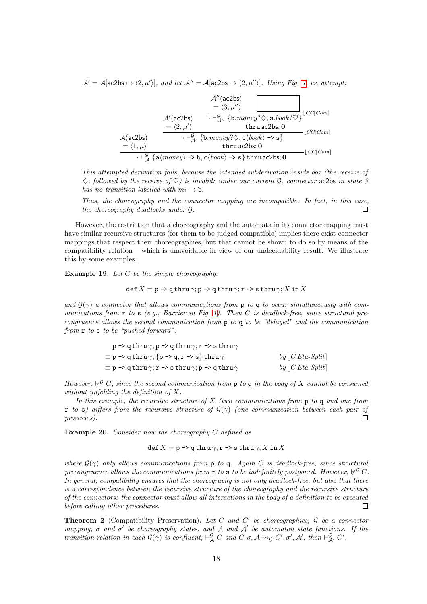$\mathcal{A}' = \mathcal{A}[\texttt{ac2bs} \mapsto \langle 2, \mu' \rangle],$  and let  $\mathcal{A}'' = \mathcal{A}[\texttt{ac2bs} \mapsto \langle 2, \mu'' \rangle].$  Using Fig. [7,](#page-15-0) we attempt:

$$
\mathcal{A}''(\text{ac2bs}) = \langle 3, \mu'' \rangle
$$
\n
$$
\mathcal{A}'(\text{ac2bs}) = \frac{\langle 3, \mu'' \rangle}{\langle \text{ln} \rangle} \mathcal{A}(\text{ac2bs}) = \frac{\langle 2, \mu' \rangle}{\langle \text{ln} \rangle} \mathcal{A}(\text{ac2bs}) = \frac{\langle 2, \mu' \rangle}{\langle \text{ln} \rangle} \mathcal{A}(\text{ac2bs}) = \frac{\langle 2, \mu' \rangle}{\langle \text{ln} \rangle} \mathcal{A}(\text{ac2bs}) = \frac{\langle 1, \mu \rangle}{\langle \text{ln} \rangle} \mathcal{A}(\text{ac2bs}) = \frac{\langle 1, \mu \rangle}{\langle \text{ln} \rangle} \mathcal{A}(\text{ad}(\text{b}) = \text{ln} \rangle
$$
\n
$$
\mathcal{A}(\text{ac2bs}) = \frac{\langle 1, \mu \rangle}{\langle \text{ln} \rangle} \mathcal{A}(\text{ad}(\text{b}) = \text{ln} \rangle \mathcal{A}(\text{b}) = \text{ln} \rangle
$$

This attempted derivation fails, because the intended subderivation inside box (the receive of  $\diamondsuit$ , followed by the receive of  $\heartsuit$ ) is invalid: under our current  $\mathcal G$ , connector ac2bs in state 3 has no transition labelled with  $m_1 \rightarrow b$ .

Thus, the choreography and the connector mapping are incompatible. In fact, in this case, the choreography deadlocks under G.  $\Box$ 

However, the restriction that a choreography and the automata in its connector mapping must have similar recursive structures (for them to be judged compatible) implies there exist connector mappings that respect their choreographies, but that cannot be shown to do so by means of the compatibility relation – which is unavoidable in view of our undecidability result. We illustrate this by some examples.

**Example 19.** Let  $C$  be the simple choreography:

$$
\operatorname{def} X = \operatorname{p} \to \operatorname{q} \operatorname{thru} \gamma; \operatorname{p} \to \operatorname{q} \operatorname{thru} \gamma; \operatorname{r} \to \operatorname{s} \operatorname{thru} \gamma; X \text{ in } X
$$

and  $\mathcal{G}(\gamma)$  a connector that allows communications from p to q to occur simultaneously with communications from  $\mathbf r$  to  $\mathbf s$  (e.g., Barrier in Fig. [1\)](#page-4-0). Then C is deadlock-free, since structural precongruence allows the second communication from p to q to be "delayed" and the communication from r to s to be "pushed forward":

| $p \rightarrow q$ thru $\gamma$ ; $p \rightarrow q$ thru $\gamma$ ; $r \rightarrow s$ thru $\gamma$ |                                    |
|-----------------------------------------------------------------------------------------------------|------------------------------------|
| $\equiv$ p -> q thru $\gamma$ ; {p -> q, r -> s} thru $\gamma$                                      | $by \lfloor C   Eta-Split \rfloor$ |
| $\equiv$ p -> q thru $\gamma;$ r -> s thru $\gamma;$ p -> q thru $\gamma$                           | $by \lfloor C   Eta-Split \rceil$  |

However,  $\not\vdash^{\mathcal{G}} C$ , since the second communication from p to q in the body of X cannot be consumed without unfolding the definition of X.

In this example, the recursive structure of  $X$  (two communications from  $p$  to  $q$  and one from r to s) differs from the recursive structure of  $G(\gamma)$  (one communication between each pair of processes).  $\Box$ 

**Example 20.** Consider now the choreography  $C$  defined as

$$
\operatorname{def} X = \operatorname{p} \to \operatorname{q} \operatorname{thru} \gamma; \operatorname{r} \to \operatorname{s} \operatorname{thru} \gamma; X \operatorname{in} X
$$

where  $G(\gamma)$  only allows communications from p to q. Again C is deadlock-free, since structural precongruence allows the communications from r to s to be indefinitely postponed. However,  $\not\vdash^{\mathcal{G}} C$ . In general, compatibility ensures that the choreography is not only deadlock-free, but also that there is a correspondence between the recursive structure of the choreography and the recursive structure of the connectors: the connector must allow all interactions in the body of a definition to be executed before calling other procedures.  $\Box$ 

<span id="page-17-0"></span>**Theorem 2** (Compatibility Preservation). Let C and C' be choreographies,  $\mathcal G$  be a connector mapping,  $\sigma$  and  $\sigma'$  be choreography states, and A and A' be automaton state functions. If the transition relation in each  $\mathcal{G}(\gamma)$  is confluent,  $\vdash^{\mathcal{G}}_{\mathcal{A}} C$  and  $C, \sigma, \mathcal{A} \leadsto_{\mathcal{G}} C', \sigma', \mathcal{A}'$ , then  $\vdash^{\mathcal{G}}_{\mathcal{A}'} C'$ .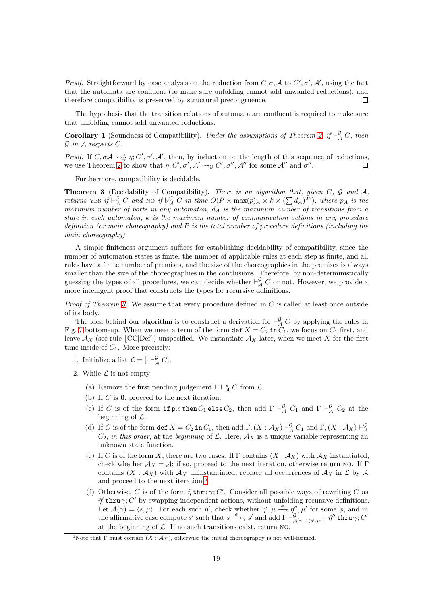*Proof.* Straightforward by case analysis on the reduction from  $C, \sigma, \mathcal{A}$  to  $C', \sigma', \mathcal{A}'$ , using the fact that the automata are confluent (to make sure unfolding cannot add unwanted reductions), and therefore compatibility is preserved by structural precongruence.  $\Box$ 

The hypothesis that the transition relations of automata are confluent is required to make sure that unfolding cannot add unwanted reductions.

<span id="page-18-0"></span>**Corollary 1** (Soundness of Compatibility). Under the assumptions of Theorem [2,](#page-17-0) if  $\vdash^{\mathcal{G}}_{\mathcal{A}} C$ , then  $\mathcal G$  in  $\mathcal A$  respects  $C$ .

Proof. If  $C, \sigma A \leadsto_{\mathcal{G}}^* \eta; C', \sigma', \mathcal{A}'$ , then, by induction on the length of this sequence of reductions, we use Theorem [2](#page-17-0) to show that  $\eta$ ; C',  $\sigma'$ , A'  $\leadsto_{\mathcal{G}} C'$ ,  $\sigma''$ , A'' for some A'' and  $\sigma''$ .  $\Box$ 

Furthermore, compatibility is decidable.

<span id="page-18-1"></span>**Theorem 3** (Decidability of Compatibility). There is an algorithm that, given  $C$ ,  $\mathcal{G}$  and  $\mathcal{A}$ , returns YES if  $\vdash^{\mathcal{G}}_{\mathcal{A}} C$  and NO if  $\forall^{\mathcal{G}}_{\mathcal{A}} C$  in time  $O(P \times max(p)_{A} \times k \times (\sum d_{A})^{2k})$ , where  $p_{A}$  is the maximum number of ports in any automaton,  $d_A$  is the maximum number of transitions from a state in each automaton, k is the maximum number of communication actions in any procedure definition (or main choreography) and  $P$  is the total number of procedure definitions (including the main choreography).

A simple finiteness argument suffices for establishing decidability of compatibility, since the number of automaton states is finite, the number of applicable rules at each step is finite, and all rules have a finite number of premises, and the size of the choreographies in the premises is always smaller than the size of the choreographies in the conclusions. Therefore, by non-deterministically guessing the types of all procedures, we can decide whether  $\vdash^{\mathcal{G}}_{\mathcal{A}} C$  or not. However, we provide a more intelligent proof that constructs the types for recursive definitions.

*Proof of Theorem [3.](#page-18-1)* We assume that every procedure defined in  $C$  is called at least once outside of its body.

The idea behind our algorithm is to construct a derivation for  $\vdash^{\mathcal{G}}_{\mathcal{A}} C$  by applying the rules in Fig. [7](#page-15-0) bottom-up. When we meet a term of the form  $\det X = C_2 \text{ in } C_1$ , we focus on  $C_1$  first, and leave  $\mathcal{A}_X$  (see rule [CC|Def]) unspecified. We instantiate  $\mathcal{A}_X$  later, when we meet X for the first time inside of  $C_1$ . More precisely:

- 1. Initialize a list  $\mathcal{L} = [\cdot \vdash_{\mathcal{A}}^{\mathcal{G}} C].$
- 2. While  $\mathcal L$  is not empty:
	- (a) Remove the first pending judgement  $\Gamma \vdash_{\mathcal{A}}^{\mathcal{G}} C$  from  $\mathcal{L}$ .
	- (b) If  $C$  is  $\mathbf{0}$ , proceed to the next iteration.
	- (c) If C is of the form if  $p.e$  then  $C_1$  else  $C_2$ , then add  $\Gamma \vdash^{\mathcal{G}}_{\mathcal{A}} C_1$  and  $\Gamma \vdash^{\mathcal{G}}_{\mathcal{A}} C_2$  at the beginning of  $\mathcal{L}$ .
	- (d) If C is of the form  $\det X = C_2$  in  $C_1$ , then add  $\Gamma$ ,  $(X : \mathcal{A}_X) \vdash^{\mathcal{G}}_{\mathcal{A}} C_1$  and  $\Gamma$ ,  $(X : \mathcal{A}_X) \vdash^{\mathcal{G}}_{\mathcal{A}}$  $C_2$ , in this order, at the beginning of  $\mathcal{L}$ . Here,  $\mathcal{A}_X$  is a unique variable representing an unknown state function.
	- (e) If C is of the form X, there are two cases. If  $\Gamma$  contains  $(X : \mathcal{A}_X)$  with  $\mathcal{A}_X$  instantiated, check whether  $\mathcal{A}_X = \mathcal{A}$ ; if so, proceed to the next iteration, otherwise return NO. If Γ contains  $(X : A_X)$  with  $A_X$  uninstantiated, replace all occurrences of  $A_X$  in  $\mathcal L$  by  $\mathcal A$ and proceed to the next iteration.[6](#page-18-2)
	- (f) Otherwise, C is of the form  $\tilde{\eta}$  thru  $\gamma$ ; C'. Consider all possible ways of rewriting C as  $\tilde{\eta}'$  thru  $\gamma$ ; C' by swapping independent actions, without unfolding recursive definitions. Let  $\mathcal{A}(\gamma) = \langle s, \mu \rangle$ . For each such  $\tilde{\eta}'$ , check whether  $\tilde{\eta}'$ ,  $\mu \xrightarrow{\phi} \tilde{\eta}''$ ,  $\mu'$  for some  $\phi$ , and in the affirmative case compute s' such that  $s \xrightarrow{\phi} s'$  and add  $\Gamma \vdash_{\mathcal{A}[\gamma \to \langle s',\mu' \rangle]}^{\mathcal{G}} \tilde{\eta}''$  thru  $\gamma$ ; C' at the beginning of  $\mathcal{L}$ . If no such transitions exist, return NO.

<span id="page-18-2"></span><sup>&</sup>lt;sup>6</sup>Note that Γ must contain  $(X : A_X)$ , otherwise the initial choreography is not well-formed.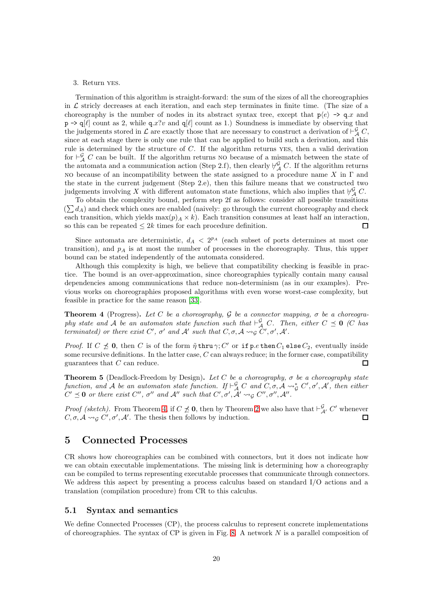#### 3. Return yes.

Termination of this algorithm is straight-forward: the sum of the sizes of all the choreographies in  $\mathcal L$  stricly decreases at each iteration, and each step terminates in finite time. (The size of a choreography is the number of nodes in its abstract syntax tree, except that  $p(e) \rightarrow q.x$  and  $p \rightarrow q[\ell]$  count as 2, while  $q.x$ ?v and  $q[\ell]$  count as 1.) Soundness is immediate by observing that the judgements stored in  $\mathcal L$  are exactly those that are necessary to construct a derivation of  $\vdash^{\mathcal G}_{\mathcal A} C$ , since at each stage there is only one rule that can be applied to build such a derivation, and this rule is determined by the structure of C. If the algorithm returns yes, then a valid derivation for  $\vdash^{\mathcal{G}}_{\mathcal{A}} C$  can be built. If the algorithm returns no because of a mismatch between the state of the automata and a communication action (Step 2.f), then clearly  $\forall^{\mathcal{G}}_{\mathcal{A}} C$ . If the algorithm returns NO because of an incompatibility between the state assigned to a procedure name X in  $\Gamma$  and the state in the current judgement (Step 2.e), then this failure means that we constructed two judgements involving X with different automaton state functions, which also implies that  $\not\vdash^{\mathcal{G}}_{\mathcal{A}} C$ .

To obtain the complexity bound, perform step 2f as follows: consider all possible transitions  $(\sum d_A)$  and check which ones are enabled (naively: go through the current choreography and check each transition, which yields  $\max(p) \geq k$ ). Each transition consumes at least half an interaction, so this can be repeated  $\leq 2k$  times for each procedure definition.  $\Box$ 

Since automata are deterministic,  $d_A < 2^{p_A}$  (each subset of ports determines at most one transition), and  $p_A$  is at most the number of processes in the choreography. Thus, this upper bound can be stated independently of the automata considered.

Although this complexity is high, we believe that compatibility checking is feasible in practice. The bound is an over-approximation, since choreographies typically contain many causal dependencies among communications that reduce non-determinism (as in our examples). Previous works on choreographies proposed algorithms with even worse worst-case complexity, but feasible in practice for the same reason [\[33\]](#page-25-13).

<span id="page-19-1"></span>**Theorem 4** (Progress). Let C be a choreography, G be a connector mapping,  $\sigma$  be a choreography state and A be an automaton state function such that  $\vdash^{\mathcal{G}}_{\mathcal{A}} C$ . Then, either  $C \preceq \mathbf{0}$  (C has terminated) or there exist C',  $\sigma'$  and A' such that  $C, \sigma, A \leadsto_{\mathcal{G}} C', \sigma', A'$ .

*Proof.* If  $C \not\preceq 0$ , then C is of the form  $\tilde{\eta}$  thru  $\gamma$ ; C' or if p.e then  $C_1$  else  $C_2$ , eventually inside some recursive definitions. In the latter case,  $C$  can always reduce; in the former case, compatibility guarantees that C can reduce.  $\Box$ 

**Theorem 5** (Deadlock-Freedom by Design). Let C be a choreography,  $\sigma$  be a choreography state function, and A be an automaton state function. If  $\vdash^{\mathcal{G}}_{\mathcal{A}} C$  and  $C, \sigma, \mathcal{A} \leadsto^*_{\mathcal{G}} C', \sigma', \mathcal{A}'$ , then either  $C' \preceq \mathbf{0}$  or there exist  $C'', \sigma''$  and  $\mathcal{A}''$  such that  $C', \sigma', \mathcal{A}' \leadsto_{\mathcal{G}} C'', \sigma'', \mathcal{A}''$ .

*Proof (sketch)*. From Theorem [4,](#page-19-1) if  $C \not\preceq 0$ , then by Theorem [2](#page-17-0) we also have that  $\vdash^{\mathcal{G}}_{\mathcal{A}'} C'$  whenever  $C, \sigma, \mathcal{A} \leadsto_{\mathcal{G}} C', \sigma', \mathcal{A}'$ . The thesis then follows by induction.  $\Box$ 

## <span id="page-19-0"></span>5 Connected Processes

CR shows how choreographies can be combined with connectors, but it does not indicate how we can obtain executable implementations. The missing link is determining how a choreography can be compiled to terms representing executable processes that communicate through connectors. We address this aspect by presenting a process calculus based on standard I/O actions and a translation (compilation procedure) from CR to this calculus.

#### 5.1 Syntax and semantics

We define Connected Processes (CP), the process calculus to represent concrete implementations of choreographies. The syntax of CP is given in Fig. [8.](#page-20-0) A network  $N$  is a parallel composition of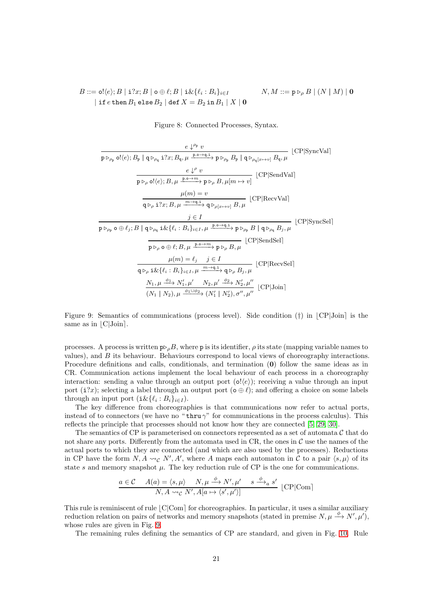$B ::= \mathsf{o}! \langle e \rangle; B \mid \mathbf{i} ? x; B \mid \mathsf{o} \oplus \ell; B \mid \mathbf{i} \& \{\ell_i : B_i\}_{i \in I}$  $N, M ::= \mathbf{p} \triangleright_{\rho} B \mid (N \mid M) \mid \mathbf{0}$ | if  $e$  then  $B_1$  else  $B_2$  | def  $X = B_2$  in  $B_1 \mid X \mid \mathbf{0}$ 

<span id="page-20-0"></span>Figure 8: Connected Processes, Syntax.

$$
\frac{e \downarrow^{\rho_{p}} v}{p \triangleright_{\rho_{p}} o! \langle e \rangle; B_{p} | q \triangleright_{\rho_{q}} i?x; B_{q}, \mu \xrightarrow{p \cdot o \rightarrow q, i} p \triangleright_{\rho_{p}} B_{p} | q \triangleright_{\rho_{q}[x \mapsto v]} B_{q}, \mu
$$
 [CP|SyncVal]  
\n
$$
\frac{e \downarrow^{\rho} v}{p \triangleright_{\rho} o! \langle e \rangle; B, \mu \xrightarrow{p \cdot o \rightarrow m} p \triangleright_{\rho} B, \mu [m \mapsto v]}
$$
 [CP|SendVal]  
\n
$$
\mu(m) = v
$$
 [CP|RecvVal]  
\n
$$
\frac{j \in I}{p \triangleright_{\rho_{p}} o \oplus \ell_{j}; B | q \triangleright_{\rho_{q}} i \& \{\ell_{i}: B_{i}\}_{i \in I}, \mu \xrightarrow{p \cdot o \rightarrow q, i} p \triangleright_{\rho_{p}} B | q \triangleright_{\rho_{q}} B_{j}, \mu
$$
 [CP|SyncSel]  
\n
$$
\frac{j \in I}{p \triangleright_{\rho_{p}} o \oplus \ell_{j}; B | q \triangleright_{\rho_{q}} i \& \{\ell_{i}: B_{i}\}_{i \in I}, \mu \xrightarrow{p \cdot o \rightarrow q, i} p \triangleright_{\rho} B, \mu
$$
 [CP|SendSel]  
\n
$$
\mu(m) = \ell_{j} \quad j \in I
$$
 [CP|RecvSel]  
\n
$$
\frac{\mu(m) = \ell_{j} \quad j \in I}{q \triangleright_{\rho} i \& \{\ell_{i}: B_{i}\}_{i \in I}, \mu \xrightarrow{m \rightarrow q, i} q \triangleright_{\rho} B_{j}, \mu}
$$
 [CP|RecvSel]  
\n
$$
\frac{N_{1}, \mu \xrightarrow{\phi_{1}} N'_{1}, \mu' \xrightarrow{N_{2}}, \mu' \xrightarrow{\phi_{2}} N'_{2}, \mu''}{(N_{1} | N_{2}), \sigma'', \mu''}
$$
 [CP|Join]

<span id="page-20-1"></span>Figure 9: Semantics of communications (process level). Side condition  $(\dagger)$  in  $|CP|$ Join is the same as in  $|C|$ Join $|.$ 

processes. A process is written  $p \circ \rho B$ , where p is its identifier,  $\rho$  its state (mapping variable names to values), and B its behaviour. Behaviours correspond to local views of choreography interactions. Procedure definitions and calls, conditionals, and termination (0) follow the same ideas as in CR. Communication actions implement the local behaviour of each process in a choreography interaction: sending a value through an output port  $(o!(e))$ ; receiving a value through an input port (i?x); selecting a label through an output port ( $\phi \oplus \ell$ ); and offering a choice on some labels through an input port  $(i \& \{\ell_i : B_i\}_{i \in I})$ .

The key difference from choreographies is that communications now refer to actual ports, instead of to connectors (we have no " $\textrm{thru }\gamma$ " for communications in the process calculus). This reflects the principle that processes should not know how they are connected [\[5,](#page-23-3) [29,](#page-25-12) [30\]](#page-25-14).

The semantics of CP is parameterised on connectors represented as a set of automata  $\mathcal C$  that do not share any ports. Differently from the automata used in  $CR$ , the ones in  $\mathcal C$  use the names of the actual ports to which they are connected (and which are also used by the processes). Reductions in CP have the form  $N, A \rightarrow_C N', A'$ , where A maps each automaton in C to a pair  $\langle s, \mu \rangle$  of its state s and memory snapshot  $\mu$ . The key reduction rule of CP is the one for communications.

$$
\frac{a \in \mathcal{C} \quad A(a) = \langle s, \mu \rangle \quad N, \mu \xrightarrow{\phi} N', \mu' \quad s \xrightarrow{\phi} a s' \quad \text{[CP|Com]}
$$
  

$$
N, A \rightsquigarrow_{\mathcal{C}} N', A[a \mapsto \langle s', \mu' \rangle]
$$

This rule is reminiscent of rule  $|C|Com$  for choreographies. In particular, it uses a similar auxiliary reduction relation on pairs of networks and memory snapshots (stated in premise  $N, \mu \stackrel{\phi}{\rightarrow} N', \mu'$ ), whose rules are given in Fig. [9.](#page-20-1)

The remaining rules defining the semantics of CP are standard, and given in Fig. [10.](#page-21-0) Rule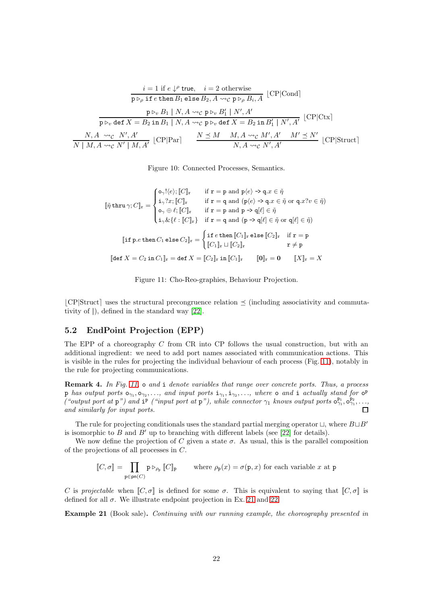$$
i = 1 \text{ if } e \downarrow^{\rho} \text{ true}, \quad i = 2 \text{ otherwise}
$$
\n
$$
\frac{1}{p \triangleright_{\rho} \text{ if } e \text{ then } B_1 \text{ else } B_2, A \leadsto_{\mathcal{C}} p \triangleright_{\rho} B_i, A} \text{ [CP|Cond]}
$$
\n
$$
\frac{1}{p \triangleright_{v} \text{ def } X = B_2 \text{ in } B_1 \mid N, A \leadsto_{\mathcal{C}} p \triangleright_{v} B_1' \mid N', A'} \text{ [CP|Ctx]}
$$
\n
$$
\frac{1}{N \mid M, A \leadsto_{\mathcal{C}} N', A'} \text{ [CP|Par]} \quad \frac{N \preceq M \quad M, A \leadsto_{\mathcal{C}} M', A' \quad M' \preceq N'}{N, A \leadsto_{\mathcal{C}} N', A'} \text{ [CP|Struct]}
$$

<span id="page-21-0"></span>Figure 10: Connected Processes, Semantics.

$$
[\![\tilde{\eta}\text{ thru}\,\gamma;C]\!]_{\mathbf{r}} = \begin{cases} \circ_{\gamma}! (e); [\![C]\!]_{\mathbf{r}} & \text{if } \mathbf{r} = \mathbf{p} \text{ and } \mathbf{p} \langle e \rangle \to \mathbf{q}.x \in \tilde{\eta} \\ \mathrm{i}_{\gamma} ? x; [\![C]\!]_{\mathbf{r}} & \text{if } \mathbf{r} = \mathbf{q} \text{ and } (\mathbf{p} \langle e \rangle \to \mathbf{q}.x \in \tilde{\eta} \text{ or } \mathbf{q}.x?v \in \tilde{\eta}) \\ \circ_{\gamma} \oplus \ell; [\![C]\!]_{\mathbf{r}} & \text{if } \mathbf{r} = \mathbf{p} \text{ and } \mathbf{p} \to \mathbf{q}[\ell] \in \tilde{\eta} \\ \mathrm{i}_{\gamma} \& \{\ell : [\![C]\!]_{\mathbf{r}}\} & \text{if } \mathbf{r} = \mathbf{q} \text{ and } (\mathbf{p} \to \mathbf{q}[\ell] \in \tilde{\eta} \text{ or } \mathbf{q}[\ell] \in \tilde{\eta}) \end{cases}
$$

$$
[\![\text{if } \mathbf{p}.e \text{ then } C_1 \text{ else } C_2]\!]_{\mathbf{r}} = \begin{cases} \text{if } e \text{ then } [\![C_1]\!]_{\mathbf{r}} \text{ else } [\![C_2]\!]_{\mathbf{r}} & \text{if } \mathbf{r} = \mathbf{p} \\ [\![C_1]\!]_{\mathbf{r}} \sqcup [\![C_2]\!]_{\mathbf{r}} & \text{if } \mathbf{r} \neq \mathbf{p} \end{cases}
$$

$$
[\![\text{det } X = C_2 \text{ in } C_1]\!]_{\mathbf{r}} = \text{def } X = [\![C_2]\!]_{\mathbf{r}} \text{ in } [\![C_1]\!]_{\mathbf{r}} \qquad [\![\textbf{0}]\!]_{\mathbf{r}} = \textbf{0} \qquad [\![X]\!]_{\mathbf{r}} = X
$$

<span id="page-21-1"></span>

 $|CP|$ Struct uses the structural precongruence relation  $\preceq$  (including associativity and commutativity of |), defined in the standard way [\[22\]](#page-24-2).

### 5.2 EndPoint Projection (EPP)

The EPP of a choreography C from CR into CP follows the usual construction, but with an additional ingredient: we need to add port names associated with communication actions. This is visible in the rules for projecting the individual behaviour of each process (Fig. [11\)](#page-21-1), notably in the rule for projecting communications.

Remark 4. In Fig. [11,](#page-21-1)  $\circ$  and i denote variables that range over concrete ports. Thus, a process p has output ports  $o_{\gamma_1}, o_{\gamma_2}, \ldots$ , and input ports  $i_{\gamma_1}, i_{\gamma_2}, \ldots$ , where  $o$  and  $i$  actually stand for  $o^p$ ("output port at p") and i<sup>p</sup> ("input port at p"), while connector  $\gamma_1$  knows output ports  $o_{\gamma_1}^{p_1}, o_{\gamma_1}^{p_2}, \ldots$  $\Box$ and similarly for input ports.

The rule for projecting conditionals uses the standard partial merging operator  $\Box$ , where  $B\Box B'$ is isomorphic to B and  $B'$  up to branching with different labels (see [\[22\]](#page-24-2) for details).

We now define the projection of C given a state  $\sigma$ . As usual, this is the parallel composition of the projections of all processes in C.

$$
\llbracket C, \sigma \rrbracket = \prod_{\mathbf{p} \in \mathsf{p}\mathsf{n}(C)} \mathbf{p} \triangleright_{\rho_{\mathbf{p}}} \llbracket C \rrbracket_{\mathbf{p}} \qquad \text{where } \rho_{\mathbf{p}}(x) = \sigma(\mathbf{p}, x) \text{ for each variable } x \text{ at } \mathbf{p}
$$

C is projectable when  $[\mathcal{C}, \sigma]$  is defined for some  $\sigma$ . This is equivalent to saying that  $[\mathcal{C}, \sigma]$  is defined for all  $\sigma$ . We illustrate endpoint projection in Ex. [21](#page-21-2) and [22.](#page-22-1)

<span id="page-21-2"></span>Example 21 (Book sale). Continuing with our running example, the choreography presented in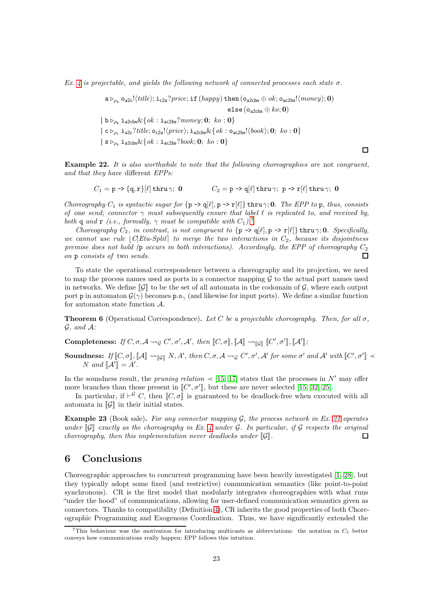Ex. [4](#page-5-3) is projectable, and yields the following network of connected processes each state  $\sigma$ .

 $a \triangleright_{\rho_a}$  o<sub>a2c</sub>! $\langle title \rangle$ ; i<sub>c2a</sub>?price; if  $(happy)$  then  $(o_{a2cbs} \oplus ok; o_{ac2bs}! \langle money \rangle; 0)$ else (o<sub>a2cbs</sub>  $\oplus$  ko; 0)  $|b \rhd_{\rho_{b}} i_{a2\text{cbs}} \& \{ok : i_{ac2bs}?money; 0; ko : 0\}$  $| \mathbf{c} \rangle_{\rho_c}$  i<sub>a2c</sub>?title; o<sub>c2a</sub>! $\langle price \rangle$ ; i<sub>a2cbs</sub>&{ok : o<sub>ac2bs</sub>! $\langle book \rangle$ ; 0; ko : 0}  $| s \rhd_{\rho_s} i_{a2\text{cbs}} \& \{ ok : i_{ac2\text{bs}}? \text{book}; 0; \text{ ko} : 0 \}$ 

<span id="page-22-1"></span>Example 22. It is also worthwhile to note that the following choreographies are not congruent, and that they have different EPPs:

 $\Box$ 

$$
C_1 = \text{p} \rightarrow \{\text{q}, \text{r}\}[\ell] \text{ thru } \gamma; \; \textbf{0} \qquad \qquad C_2 = \text{p} \rightarrow \text{q}[\ell] \text{ thru } \gamma; \; \text{p} \rightarrow \text{r}[\ell] \text{ thru } \gamma; \; \textbf{0}
$$

Choreography  $C_1$  is syntactic sugar for  $\{p \rightarrow q[\ell], p \rightarrow r[\ell]\}$  thru  $\gamma$ ; 0. The EPP to p, thus, consists of one send; connector  $\gamma$  must subsequently ensure that label  $\ell$  is replicated to, and received by, both q and r (i.e., formally,  $\gamma$  must be compatible with  $C_1$ ).<sup>[7](#page-22-2)</sup>

Choreography  $C_2$ , in contrast, is not congruent to  $\{p \rightarrow q[\ell], p \rightarrow r[\ell]\}$  thru  $\gamma$ ; 0. Specifically, we cannot use rule  $|C|Eta-Split|$  to merge the two interactions in  $C_2$ , because its disjointness premise does not hold (p occurs in both interactions). Accordingly, the EPP of choreography  $C_2$ on p consists of two sends.  $\Box$ 

To state the operational correspondence between a choreography and its projection, we need to map the process names used as ports in a connector mapping  $\mathcal G$  to the actual port names used in networks. We define  $\llbracket \mathcal{G} \rrbracket$  to be the set of all automata in the codomain of  $\mathcal{G}$ , where each output port **p** in automaton  $\mathcal{G}(\gamma)$  becomes **p.o**<sub> $\gamma$ </sub> (and likewise for input ports). We define a similar function for automaton state function A.

**Theorem 6** (Operational Correspondence). Let C be a projectable choreography. Then, for all  $\sigma$ ,  $G$ , and  $A$ :

Completeness: If  $C, \sigma, \mathcal{A} \leadsto_{\mathcal{G}} C', \sigma', \mathcal{A}', \text{ then } [C, \sigma], [\![\mathcal{A}]\!] \leadsto_{[\![\mathcal{G}]\!]} [C', \sigma'], [\![\mathcal{A}']\!]$ ;

Soundness: If  $[[C, \sigma]], [\mathcal{A}] \leadsto_{[\mathcal{G}]} N, A', \text{ then } C, \sigma, \mathcal{A} \leadsto_{\mathcal{G}} C', \sigma', \mathcal{A}' \text{ for some } \sigma' \text{ and } \mathcal{A}' \text{ with } [[C', \sigma']] \prec$ N and  $\llbracket \mathcal{A}' \rrbracket = A'.$ 

In the soundness result, the pruning relation  $\prec$  [\[15,](#page-24-1) [17\]](#page-24-0) states that the processes in N' may offer more branches than those present in  $[[C', \sigma']]$ , but these are never selected [\[15,](#page-24-1) [32,](#page-25-7) [25\]](#page-24-18).

In particular, if  $\vdash^{\mathcal{G}} C$ , then  $[\![C, \sigma]\!]$  is guaranteed to be deadlock-free when executed with all automata in  $\llbracket \mathcal{G} \rrbracket$  in their initial states.

**Example 23** (Book sale). For any connector mapping  $\mathcal{G}$ , the process network in Ex. [21](#page-21-2) operates under  $\llbracket \mathcal{G} \rrbracket$  exactly as the choreography in Ex. [4](#page-5-3) under  $\mathcal{G}$ . In particular, if  $\mathcal{G}$  respects the original choreography, then this implementation never deadlocks under  $[\![\mathcal{G}]\!]$ .  $\Box$ 

### <span id="page-22-0"></span>6 Conclusions

Choreographic approaches to concurrent programming have been heavily investigated [\[1,](#page-23-4) [28\]](#page-25-15), but they typically adopt some fixed (and restrictive) communication semantics (like point-to-point synchronous). CR is the first model that modularly integrates choreographies with what runs "under the hood" of communications, allowing for user-defined communication semantics given as connectors. Thanks to compatibility (Definition [4\)](#page-15-1), CR inherits the good properties of both Choreographic Programming and Exogenous Coordination. Thus, we have significantly extended the

<span id="page-22-2"></span><sup>&</sup>lt;sup>7</sup>This behaviour was the motivation for introducing multicasts as abbreviations: the notation in  $C_1$  better conveys how communications really happen; EPP follows this intuition.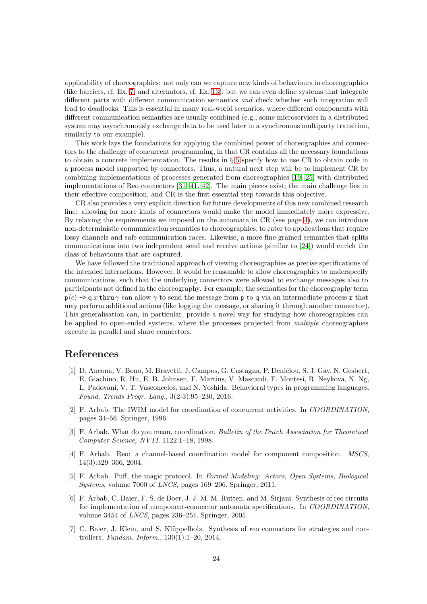applicability of choreographies: not only can we capture new kinds of behaviours in choreographies (like barriers, cf. Ex. [7,](#page-7-1) and alternators, cf. Ex. [13\)](#page-12-1), but we can even define systems that integrate different parts with different communication semantics and check whether such integration will lead to deadlocks. This is essential in many real-world scenarios, where different components with different communication semantics are usually combined (e.g., some microservices in a distributed system may asynchronously exchange data to be used later in a synchronous multiparty transition, similarly to our example).

This work lays the foundations for applying the combined power of choreographies and connectors to the challenge of concurrent programming, in that CR contains all the necessary foundations to obtain a concrete implementation. The results in § [5](#page-19-0) specify how to use CR to obtain code in a process model supported by connectors. Thus, a natural next step will be to implement CR by combining implementations of processes generated from choreographies [\[19,](#page-24-19) [25\]](#page-24-18) with distributed implementations of Reo connectors [\[31,](#page-25-6) [41,](#page-25-4) [42\]](#page-25-5). The main pieces exist; the main challenge lies in their effective composition, and CR is the first essential step towards this objective.

CR also provides a very explicit direction for future developments of this new combined research line: allowing for more kinds of connectors would make the model immediately more expressive. By relaxing the requirements we imposed on the automata in CR (see page [4\)](#page-3-2), we can introduce non-deterministic communication semantics to choreographies, to cater to applications that require lossy channels and safe communication races. Likewise, a more fine-grained semantics that splits communications into two independent send and receive actions (similar to [\[24\]](#page-24-3)) would enrich the class of behaviours that are captured.

We have followed the traditional approach of viewing choreographies as precise specifications of the intended interactions. However, it would be reasonable to allow choreographies to underspecify communications, such that the underlying connectors were allowed to exchange messages also to participants not defined in the choreography. For example, the semantics for the choreography term  $p(e) \rightarrow q.x$  thru  $\gamma$  can allow  $\gamma$  to send the message from p to q via an intermediate process r that may perform additional actions (like logging the message, or sharing it through another connector). This generalisation can, in particular, provide a novel way for studying how choreographies can be applied to open-ended systems, where the processes projected from multiple choreographies execute in parallel and share connectors.

### <span id="page-23-4"></span>References

- [1] D. Ancona, V. Bono, M. Bravetti, J. Campos, G. Castagna, P. Deniélou, S. J. Gay, N. Gesbert, E. Giachino, R. Hu, E. B. Johnsen, F. Martins, V. Mascardi, F. Montesi, R. Neykova, N. Ng, L. Padovani, V. T. Vasconcelos, and N. Yoshida. Behavioral types in programming languages. Found. Trends Progr. Lang., 3(2-3):95–230, 2016.
- <span id="page-23-0"></span>[2] F. Arbab. The IWIM model for coordination of concurrent activities. In COORDINATION, pages 34–56. Springer, 1996.
- <span id="page-23-1"></span>[3] F. Arbab. What do you mean, coordination. Bulletin of the Dutch Association for Theoretical Computer Science, NVTI, 1122:1–18, 1998.
- <span id="page-23-2"></span>[4] F. Arbab. Reo: a channel-based coordination model for component composition. MSCS, 14(3):329–366, 2004.
- <span id="page-23-3"></span>[5] F. Arbab. Puff, the magic protocol. In Formal Modeling: Actors, Open Systems, Biological Systems, volume 7000 of LNCS, pages 169–206. Springer, 2011.
- [6] F. Arbab, C. Baier, F. S. de Boer, J. J. M. M. Rutten, and M. Sirjani. Synthesis of reo circuits for implementation of component-connector automata specifications. In COORDINATION, volume 3454 of LNCS, pages 236–251. Springer, 2005.
- [7] C. Baier, J. Klein, and S. Klüppelholz. Synthesis of reo connectors for strategies and controllers. Fundam. Inform., 130(1):1–20, 2014.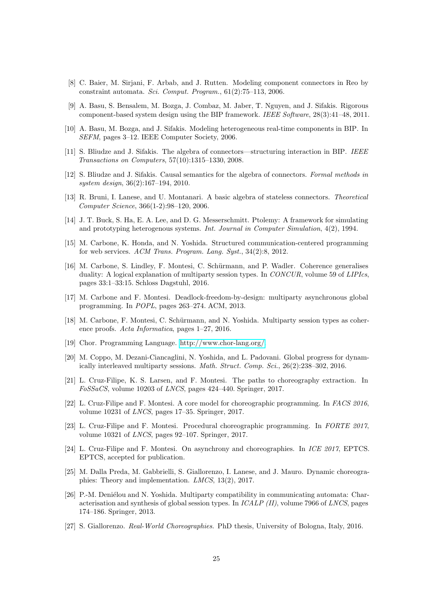- <span id="page-24-13"></span>[8] C. Baier, M. Sirjani, F. Arbab, and J. Rutten. Modeling component connectors in Reo by constraint automata. Sci. Comput. Program., 61(2):75–113, 2006.
- <span id="page-24-14"></span>[9] A. Basu, S. Bensalem, M. Bozga, J. Combaz, M. Jaber, T. Nguyen, and J. Sifakis. Rigorous component-based system design using the BIP framework. IEEE Software, 28(3):41–48, 2011.
- <span id="page-24-15"></span><span id="page-24-10"></span>[10] A. Basu, M. Bozga, and J. Sifakis. Modeling heterogeneous real-time components in BIP. In SEFM, pages 3–12. IEEE Computer Society, 2006.
- [11] S. Bliudze and J. Sifakis. The algebra of connectors—structuring interaction in BIP. IEEE Transactions on Computers, 57(10):1315–1330, 2008.
- <span id="page-24-11"></span>[12] S. Bliudze and J. Sifakis. Causal semantics for the algebra of connectors. Formal methods in system design, 36(2):167–194, 2010.
- <span id="page-24-12"></span>[13] R. Bruni, I. Lanese, and U. Montanari. A basic algebra of stateless connectors. Theoretical Computer Science, 366(1-2):98–120, 2006.
- <span id="page-24-16"></span>[14] J. T. Buck, S. Ha, E. A. Lee, and D. G. Messerschmitt. Ptolemy: A framework for simulating and prototyping heterogenous systems. Int. Journal in Computer Simulation, 4(2), 1994.
- <span id="page-24-1"></span>[15] M. Carbone, K. Honda, and N. Yoshida. Structured communication-centered programming for web services. ACM Trans. Program. Lang. Syst., 34(2):8, 2012.
- <span id="page-24-7"></span>[16] M. Carbone, S. Lindley, F. Montesi, C. Schürmann, and P. Wadler. Coherence generalises duality: A logical explanation of multiparty session types. In CONCUR, volume 59 of LIPIcs, pages 33:1–33:15. Schloss Dagstuhl, 2016.
- <span id="page-24-0"></span>[17] M. Carbone and F. Montesi. Deadlock-freedom-by-design: multiparty asynchronous global programming. In POPL, pages 263–274. ACM, 2013.
- <span id="page-24-5"></span>[18] M. Carbone, F. Montesi, C. Schürmann, and N. Yoshida. Multiparty session types as coherence proofs. Acta Informatica, pages 1–27, 2016.
- <span id="page-24-19"></span><span id="page-24-6"></span>[19] Chor. Programming Language. [http://www.chor-lang.org/.](http://www.chor-lang.org/)
- [20] M. Coppo, M. Dezani-Ciancaglini, N. Yoshida, and L. Padovani. Global progress for dynamically interleaved multiparty sessions. Math. Struct. Comp. Sci., 26(2):238–302, 2016.
- <span id="page-24-17"></span>[21] L. Cruz-Filipe, K. S. Larsen, and F. Montesi. The paths to choreography extraction. In FoSSaCS, volume 10203 of LNCS, pages 424–440. Springer, 2017.
- <span id="page-24-2"></span>[22] L. Cruz-Filipe and F. Montesi. A core model for choreographic programming. In FACS 2016, volume 10231 of LNCS, pages 17–35. Springer, 2017.
- <span id="page-24-8"></span>[23] L. Cruz-Filipe and F. Montesi. Procedural choreographic programming. In FORTE 2017, volume 10321 of LNCS, pages 92–107. Springer, 2017.
- <span id="page-24-3"></span>[24] L. Cruz-Filipe and F. Montesi. On asynchrony and choreographies. In ICE 2017, EPTCS. EPTCS, accepted for publication.
- <span id="page-24-18"></span>[25] M. Dalla Preda, M. Gabbrielli, S. Giallorenzo, I. Lanese, and J. Mauro. Dynamic choreographies: Theory and implementation. LMCS, 13(2), 2017.
- <span id="page-24-9"></span>[26] P.-M. Deniélou and N. Yoshida. Multiparty compatibility in communicating automata: Characterisation and synthesis of global session types. In ICALP (II), volume 7966 of LNCS, pages 174–186. Springer, 2013.
- <span id="page-24-4"></span>[27] S. Giallorenzo. Real-World Choreographies. PhD thesis, University of Bologna, Italy, 2016.